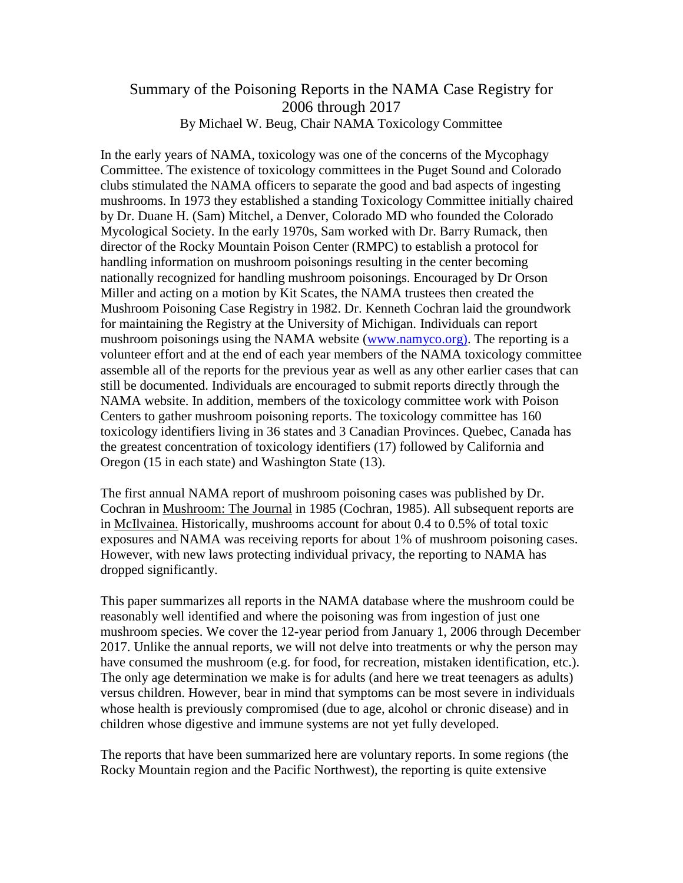### Summary of the Poisoning Reports in the NAMA Case Registry for 2006 through 2017 By Michael W. Beug, Chair NAMA Toxicology Committee

In the early years of NAMA, toxicology was one of the concerns of the Mycophagy Committee. The existence of toxicology committees in the Puget Sound and Colorado clubs stimulated the NAMA officers to separate the good and bad aspects of ingesting mushrooms. In 1973 they established a standing Toxicology Committee initially chaired by Dr. Duane H. (Sam) Mitchel, a Denver, Colorado MD who founded the Colorado Mycological Society. In the early 1970s, Sam worked with Dr. Barry Rumack, then director of the Rocky Mountain Poison Center (RMPC) to establish a protocol for handling information on mushroom poisonings resulting in the center becoming nationally recognized for handling mushroom poisonings. Encouraged by Dr Orson Miller and acting on a motion by Kit Scates, the NAMA trustees then created the Mushroom Poisoning Case Registry in 1982. Dr. Kenneth Cochran laid the groundwork for maintaining the Registry at the University of Michigan. Individuals can report mushroom poisonings using the NAMA website [\(www.namyco.org\).](http://www.namyco.org)/) The reporting is a volunteer effort and at the end of each year members of the NAMA toxicology committee assemble all of the reports for the previous year as well as any other earlier cases that can still be documented. Individuals are encouraged to submit reports directly through the NAMA website. In addition, members of the toxicology committee work with Poison Centers to gather mushroom poisoning reports. The toxicology committee has 160 toxicology identifiers living in 36 states and 3 Canadian Provinces. Quebec, Canada has the greatest concentration of toxicology identifiers (17) followed by California and Oregon (15 in each state) and Washington State (13).

The first annual NAMA report of mushroom poisoning cases was published by Dr. Cochran in Mushroom: The Journal in 1985 (Cochran, 1985). All subsequent reports are in McIlvainea. Historically, mushrooms account for about 0.4 to 0.5% of total toxic exposures and NAMA was receiving reports for about 1% of mushroom poisoning cases. However, with new laws protecting individual privacy, the reporting to NAMA has dropped significantly.

This paper summarizes all reports in the NAMA database where the mushroom could be reasonably well identified and where the poisoning was from ingestion of just one mushroom species. We cover the 12-year period from January 1, 2006 through December 2017. Unlike the annual reports, we will not delve into treatments or why the person may have consumed the mushroom (e.g. for food, for recreation, mistaken identification, etc.). The only age determination we make is for adults (and here we treat teenagers as adults) versus children. However, bear in mind that symptoms can be most severe in individuals whose health is previously compromised (due to age, alcohol or chronic disease) and in children whose digestive and immune systems are not yet fully developed.

The reports that have been summarized here are voluntary reports. In some regions (the Rocky Mountain region and the Pacific Northwest), the reporting is quite extensive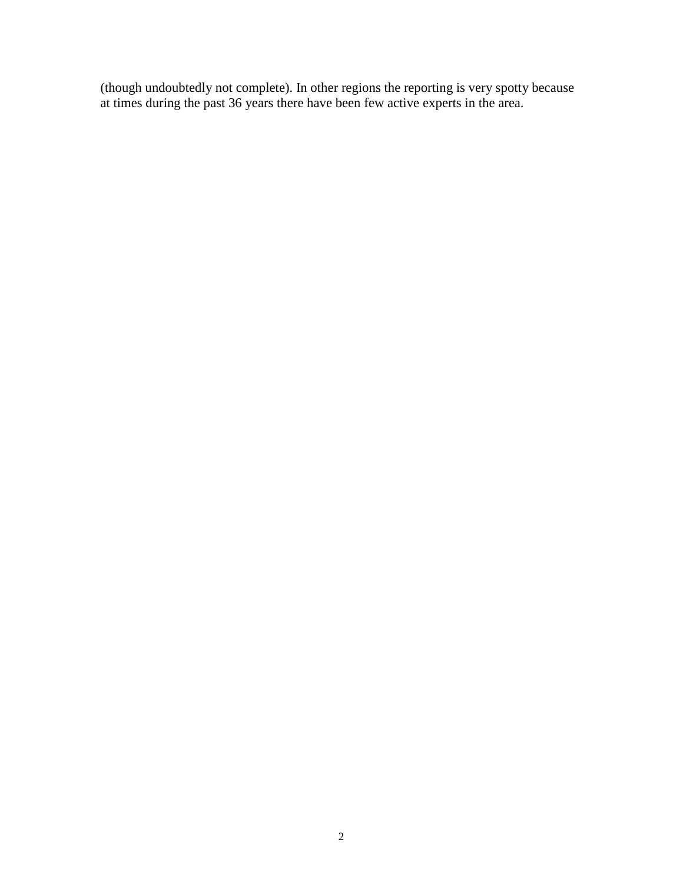(though undoubtedly not complete). In other regions the reporting is very spotty because at times during the past 36 years there have been few active experts in the area.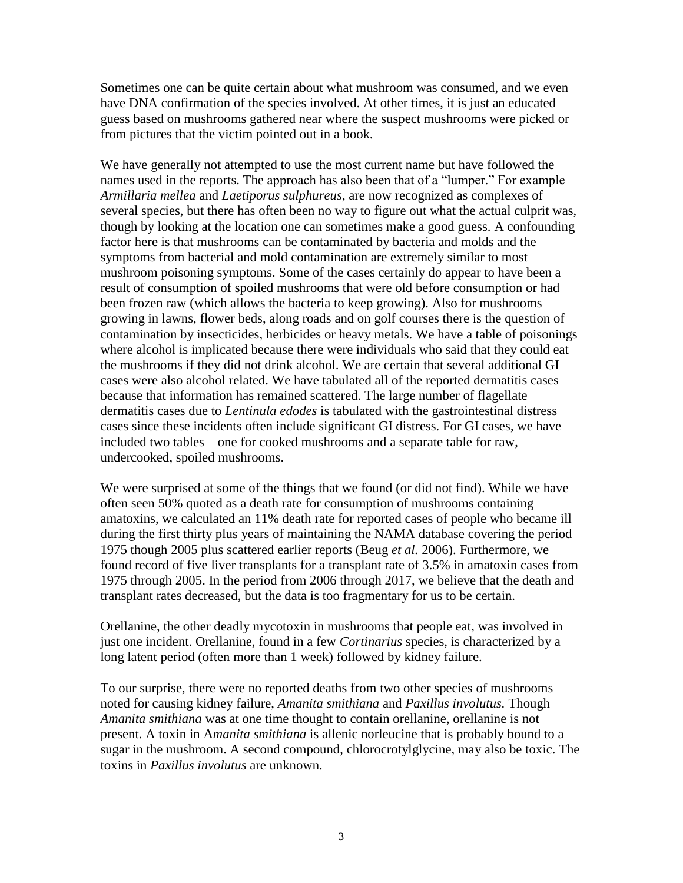Sometimes one can be quite certain about what mushroom was consumed, and we even have DNA confirmation of the species involved. At other times, it is just an educated guess based on mushrooms gathered near where the suspect mushrooms were picked or from pictures that the victim pointed out in a book.

We have generally not attempted to use the most current name but have followed the names used in the reports. The approach has also been that of a "lumper." For example *Armillaria mellea* and *Laetiporus sulphureus*, are now recognized as complexes of several species, but there has often been no way to figure out what the actual culprit was, though by looking at the location one can sometimes make a good guess. A confounding factor here is that mushrooms can be contaminated by bacteria and molds and the symptoms from bacterial and mold contamination are extremely similar to most mushroom poisoning symptoms. Some of the cases certainly do appear to have been a result of consumption of spoiled mushrooms that were old before consumption or had been frozen raw (which allows the bacteria to keep growing). Also for mushrooms growing in lawns, flower beds, along roads and on golf courses there is the question of contamination by insecticides, herbicides or heavy metals. We have a table of poisonings where alcohol is implicated because there were individuals who said that they could eat the mushrooms if they did not drink alcohol. We are certain that several additional GI cases were also alcohol related. We have tabulated all of the reported dermatitis cases because that information has remained scattered. The large number of flagellate dermatitis cases due to *Lentinula edodes* is tabulated with the gastrointestinal distress cases since these incidents often include significant GI distress. For GI cases, we have included two tables – one for cooked mushrooms and a separate table for raw, undercooked, spoiled mushrooms.

We were surprised at some of the things that we found (or did not find). While we have often seen 50% quoted as a death rate for consumption of mushrooms containing amatoxins, we calculated an 11% death rate for reported cases of people who became ill during the first thirty plus years of maintaining the NAMA database covering the period 1975 though 2005 plus scattered earlier reports (Beug *et al.* 2006). Furthermore, we found record of five liver transplants for a transplant rate of 3.5% in amatoxin cases from 1975 through 2005. In the period from 2006 through 2017, we believe that the death and transplant rates decreased, but the data is too fragmentary for us to be certain.

Orellanine, the other deadly mycotoxin in mushrooms that people eat, was involved in just one incident. Orellanine, found in a few *Cortinarius* species, is characterized by a long latent period (often more than 1 week) followed by kidney failure.

To our surprise, there were no reported deaths from two other species of mushrooms noted for causing kidney failure, *Amanita smithiana* and *Paxillus involutus.* Though *Amanita smithiana* was at one time thought to contain orellanine, orellanine is not present. A toxin in A*manita smithiana* is allenic norleucine that is probably bound to a sugar in the mushroom. A second compound, chlorocrotylglycine, may also be toxic. The toxins in *Paxillus involutus* are unknown.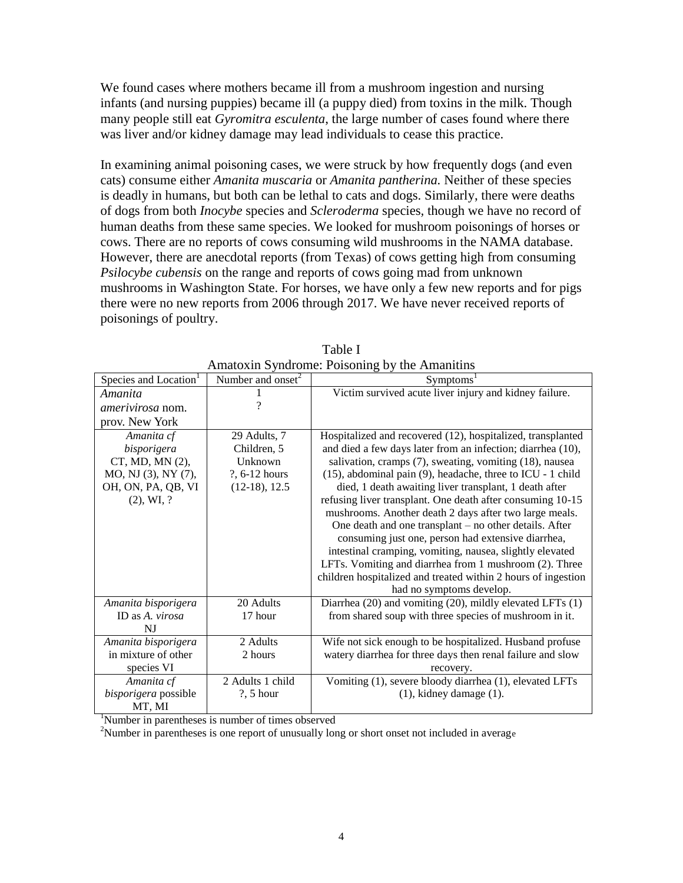We found cases where mothers became ill from a mushroom ingestion and nursing infants (and nursing puppies) became ill (a puppy died) from toxins in the milk. Though many people still eat *Gyromitra esculenta*, the large number of cases found where there was liver and/or kidney damage may lead individuals to cease this practice.

In examining animal poisoning cases, we were struck by how frequently dogs (and even cats) consume either *Amanita muscaria* or *Amanita pantherina.* Neither of these species is deadly in humans, but both can be lethal to cats and dogs. Similarly, there were deaths of dogs from both *Inocybe* species and *Scleroderma* species*,* though we have no record of human deaths from these same species. We looked for mushroom poisonings of horses or cows. There are no reports of cows consuming wild mushrooms in the NAMA database. However, there are anecdotal reports (from Texas) of cows getting high from consuming *Psilocybe cubensis* on the range and reports of cows going mad from unknown mushrooms in Washington State. For horses, we have only a few new reports and for pigs there were no new reports from 2006 through 2017. We have never received reports of poisonings of poultry.

|                                   |                      | $\alpha$ mato and $\beta$ functions. To bothing by the $\alpha$ mathems |
|-----------------------------------|----------------------|-------------------------------------------------------------------------|
| Species and Location <sup>1</sup> | Number and onset $2$ | Symptoms <sup>1</sup>                                                   |
| Amanita                           |                      | Victim survived acute liver injury and kidney failure.                  |
| amerivirosa nom.                  | 9                    |                                                                         |
| prov. New York                    |                      |                                                                         |
| Amanita cf                        | 29 Adults, 7         | Hospitalized and recovered (12), hospitalized, transplanted             |
| bisporigera                       | Children, 5          | and died a few days later from an infection; diarrhea (10),             |
| $CT$ , MD, MN $(2)$ ,             | Unknown              | salivation, cramps (7), sweating, vomiting (18), nausea                 |
| MO, NJ (3), NY (7),               | ?, 6-12 hours        | (15), abdominal pain (9), headache, three to ICU - 1 child              |
| OH, ON, PA, QB, VI                | $(12-18), 12.5$      | died, 1 death awaiting liver transplant, 1 death after                  |
| $(2)$ , WI, ?                     |                      | refusing liver transplant. One death after consuming 10-15              |
|                                   |                      | mushrooms. Another death 2 days after two large meals.                  |
|                                   |                      | One death and one transplant – no other details. After                  |
|                                   |                      | consuming just one, person had extensive diarrhea,                      |
|                                   |                      | intestinal cramping, vomiting, nausea, slightly elevated                |
|                                   |                      | LFTs. Vomiting and diarrhea from 1 mushroom (2). Three                  |
|                                   |                      | children hospitalized and treated within 2 hours of ingestion           |
|                                   |                      | had no symptoms develop.                                                |
| Amanita bisporigera               | 20 Adults            | Diarrhea (20) and vomiting (20), mildly elevated LFTs (1)               |
| ID as A. virosa                   | 17 hour              | from shared soup with three species of mushroom in it.                  |
| NJ                                |                      |                                                                         |
| Amanita bisporigera               | 2 Adults             | Wife not sick enough to be hospitalized. Husband profuse                |
| in mixture of other               | 2 hours              | watery diarrhea for three days then renal failure and slow              |
| species VI                        |                      | recovery.                                                               |
| Amanita cf                        | 2 Adults 1 child     | Vomiting (1), severe bloody diarrhea (1), elevated LFTs                 |
| bisporigera possible              | $?$ , 5 hour         | $(1)$ , kidney damage $(1)$ .                                           |
| MT, MI                            |                      |                                                                         |

| Table I                                       |
|-----------------------------------------------|
| Amatoxin Syndrome: Poisoning by the Amanitins |

<sup>1</sup>Number in parentheses is number of times observed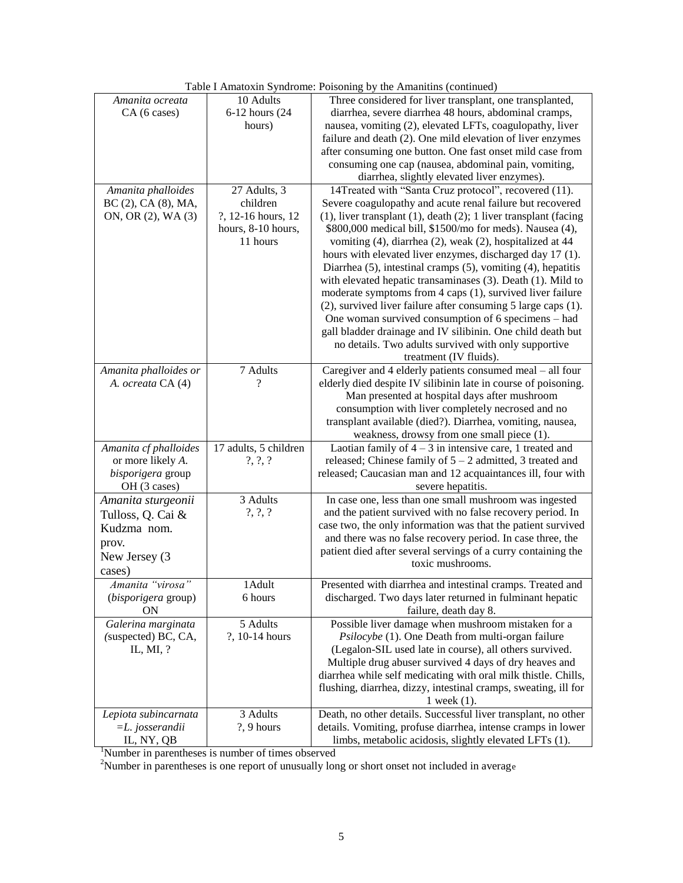|                       |                       | rable I Amatoxin Syndrome. I bisoning by the Amamuns (commuca)            |
|-----------------------|-----------------------|---------------------------------------------------------------------------|
| Amanita ocreata       | 10 Adults             | Three considered for liver transplant, one transplanted,                  |
| CA (6 cases)          | 6-12 hours (24        | diarrhea, severe diarrhea 48 hours, abdominal cramps,                     |
|                       | hours)                | nausea, vomiting (2), elevated LFTs, coagulopathy, liver                  |
|                       |                       | failure and death (2). One mild elevation of liver enzymes                |
|                       |                       | after consuming one button. One fast onset mild case from                 |
|                       |                       | consuming one cap (nausea, abdominal pain, vomiting,                      |
|                       |                       | diarrhea, slightly elevated liver enzymes).                               |
| Amanita phalloides    | 27 Adults, 3          | 14Treated with "Santa Cruz protocol", recovered (11).                     |
| BC (2), CA (8), MA,   | children              | Severe coagulopathy and acute renal failure but recovered                 |
| ON, OR (2), WA (3)    | ?, 12-16 hours, 12    | $(1)$ , liver transplant $(1)$ , death $(2)$ ; 1 liver transplant (facing |
|                       | hours, 8-10 hours,    | \$800,000 medical bill, \$1500/mo for meds). Nausea (4),                  |
|                       | 11 hours              | vomiting (4), diarrhea (2), weak (2), hospitalized at 44                  |
|                       |                       | hours with elevated liver enzymes, discharged day 17 (1).                 |
|                       |                       | Diarrhea (5), intestinal cramps (5), vomiting (4), hepatitis              |
|                       |                       | with elevated hepatic transaminases (3). Death (1). Mild to               |
|                       |                       | moderate symptoms from 4 caps (1), survived liver failure                 |
|                       |                       | (2), survived liver failure after consuming 5 large caps (1).             |
|                       |                       | One woman survived consumption of 6 specimens – had                       |
|                       |                       | gall bladder drainage and IV silibinin. One child death but               |
|                       |                       | no details. Two adults survived with only supportive                      |
|                       |                       | treatment (IV fluids).                                                    |
| Amanita phalloides or | 7 Adults              | Caregiver and 4 elderly patients consumed meal – all four                 |
| A. ocreata CA (4)     |                       | elderly died despite IV silibinin late in course of poisoning.            |
|                       |                       | Man presented at hospital days after mushroom                             |
|                       |                       | consumption with liver completely necrosed and no                         |
|                       |                       | transplant available (died?). Diarrhea, vomiting, nausea,                 |
|                       |                       | weakness, drowsy from one small piece (1).                                |
| Amanita cf phalloides | 17 adults, 5 children | Laotian family of $4 - 3$ in intensive care, 1 treated and                |
| or more likely A.     | $?$ , $?$ , $?$       | released; Chinese family of $5 - 2$ admitted, 3 treated and               |
| bisporigera group     |                       | released; Caucasian man and 12 acquaintances ill, four with               |
| OH (3 cases)          |                       | severe hepatitis.                                                         |
| Amanita sturgeonii    | 3 Adults              | In case one, less than one small mushroom was ingested                    |
| Tulloss, Q. Cai &     | $?$ , $?$ , $?$       | and the patient survived with no false recovery period. In                |
| Kudzma nom.           |                       | case two, the only information was that the patient survived              |
|                       |                       | and there was no false recovery period. In case three, the                |
| prov.                 |                       | patient died after several servings of a curry containing the             |
| New Jersey (3         |                       | toxic mushrooms.                                                          |
| cases)                |                       |                                                                           |
| Amanita "virosa"      | 1 Adult               | Presented with diarrhea and intestinal cramps. Treated and                |
| (bisporigera group)   | 6 hours               | discharged. Two days later returned in fulminant hepatic                  |
| <b>ON</b>             |                       | failure, death day 8.                                                     |
| Galerina marginata    | 5 Adults              | Possible liver damage when mushroom mistaken for a                        |
| (suspected) BC, CA,   | ?, 10-14 hours        | Psilocybe (1). One Death from multi-organ failure                         |
| IL, MI, ?             |                       | (Legalon-SIL used late in course), all others survived.                   |
|                       |                       | Multiple drug abuser survived 4 days of dry heaves and                    |
|                       |                       | diarrhea while self medicating with oral milk thistle. Chills,            |
|                       |                       | flushing, diarrhea, dizzy, intestinal cramps, sweating, ill for           |
|                       |                       | 1 week $(1)$ .                                                            |
| Lepiota subincarnata  | 3 Adults              | Death, no other details. Successful liver transplant, no other            |
| $=L$ . josserandii    | ?, 9 hours            | details. Vomiting, profuse diarrhea, intense cramps in lower              |
| IL, NY, QB            |                       | limbs, metabolic acidosis, slightly elevated LFTs (1).                    |

| Table I Amatoxin Syndrome: Poisoning by the Amanitins (continued) |  |  |  |
|-------------------------------------------------------------------|--|--|--|
|                                                                   |  |  |  |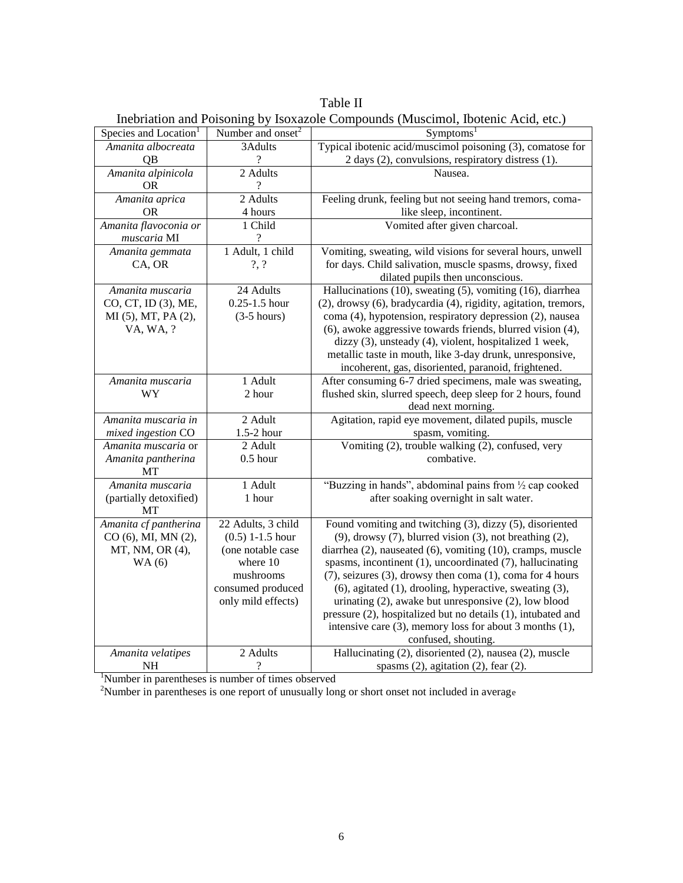Table II Inebriation and Poisoning by Isoxazole Compounds (Muscimol, Ibotenic Acid, etc.)

| Species and Location <sup>1</sup> | Number and onset <sup>2</sup> | Symptoms <sup>1</sup>                                                                                                      |
|-----------------------------------|-------------------------------|----------------------------------------------------------------------------------------------------------------------------|
| Amanita albocreata                | 3Adults                       | Typical ibotenic acid/muscimol poisoning (3), comatose for                                                                 |
| QB                                | $\overline{\cdot}$            | 2 days (2), convulsions, respiratory distress (1).                                                                         |
| Amanita alpinicola                | 2 Adults                      | Nausea.                                                                                                                    |
| <b>OR</b>                         | ?                             |                                                                                                                            |
| Amanita aprica                    | 2 Adults                      | Feeling drunk, feeling but not seeing hand tremors, coma-                                                                  |
| <b>OR</b>                         | 4 hours                       | like sleep, incontinent.                                                                                                   |
| Amanita flavoconia or             | 1 Child                       | Vomited after given charcoal.                                                                                              |
| muscaria MI                       | $\overline{\mathcal{C}}$      |                                                                                                                            |
| Amanita gemmata                   | 1 Adult, 1 child              | Vomiting, sweating, wild visions for several hours, unwell                                                                 |
| CA, OR                            | $?$ , $?$                     | for days. Child salivation, muscle spasms, drowsy, fixed                                                                   |
|                                   |                               | dilated pupils then unconscious.                                                                                           |
| Amanita muscaria                  | 24 Adults                     | Hallucinations (10), sweating (5), vomiting (16), diarrhea                                                                 |
| CO, CT, ID (3), ME,               | $0.25 - 1.5$ hour             | (2), drowsy (6), bradycardia (4), rigidity, agitation, tremors,                                                            |
| MI (5), MT, PA (2),               | $(3-5$ hours)                 | coma (4), hypotension, respiratory depression (2), nausea                                                                  |
| VA, WA, ?                         |                               | (6), awoke aggressive towards friends, blurred vision (4),                                                                 |
|                                   |                               | dizzy (3), unsteady (4), violent, hospitalized 1 week,                                                                     |
|                                   |                               | metallic taste in mouth, like 3-day drunk, unresponsive,                                                                   |
|                                   |                               | incoherent, gas, disoriented, paranoid, frightened.                                                                        |
| Amanita muscaria                  | 1 Adult                       | After consuming 6-7 dried specimens, male was sweating,                                                                    |
| WY                                | 2 hour                        | flushed skin, slurred speech, deep sleep for 2 hours, found                                                                |
|                                   |                               | dead next morning.                                                                                                         |
| Amanita muscaria in               | 2 Adult                       | Agitation, rapid eye movement, dilated pupils, muscle                                                                      |
| mixed ingestion CO                | 1.5-2 hour                    | spasm, vomiting.                                                                                                           |
| Amanita muscaria or               | 2 Adult                       | Vomiting (2), trouble walking (2), confused, very                                                                          |
| Amanita pantherina                | $0.5$ hour                    | combative.                                                                                                                 |
| МT                                |                               |                                                                                                                            |
| Amanita muscaria                  | 1 Adult                       | "Buzzing in hands", abdominal pains from 1/2 cap cooked                                                                    |
| (partially detoxified)            | 1 hour                        | after soaking overnight in salt water.                                                                                     |
| MТ                                |                               |                                                                                                                            |
| Amanita cf pantherina             | 22 Adults, 3 child            | Found vomiting and twitching $(3)$ , dizzy $(5)$ , disoriented                                                             |
| CO (6), MI, MN (2),               | $(0.5)$ 1-1.5 hour            | $(9)$ , drowsy $(7)$ , blurred vision $(3)$ , not breathing $(2)$ ,                                                        |
| MT, NM, OR (4),                   | (one notable case             | diarrhea (2), nauseated (6), vomiting (10), cramps, muscle                                                                 |
| WA(6)                             | where 10                      | spasms, incontinent (1), uncoordinated (7), hallucinating                                                                  |
|                                   | mushrooms                     | $(7)$ , seizures $(3)$ , drowsy then coma $(1)$ , coma for 4 hours                                                         |
|                                   | consumed produced             | (6), agitated (1), drooling, hyperactive, sweating (3),                                                                    |
|                                   | only mild effects)            | urinating $(2)$ , awake but unresponsive $(2)$ , low blood<br>pressure (2), hospitalized but no details (1), intubated and |
|                                   |                               | intensive care $(3)$ , memory loss for about 3 months $(1)$ ,                                                              |
|                                   |                               | confused, shouting.                                                                                                        |
| Amanita velatipes                 | 2 Adults                      | Hallucinating (2), disoriented (2), nausea (2), muscle                                                                     |
| <b>NH</b>                         | ?                             | spasms $(2)$ , agitation $(2)$ , fear $(2)$ .                                                                              |
|                                   |                               |                                                                                                                            |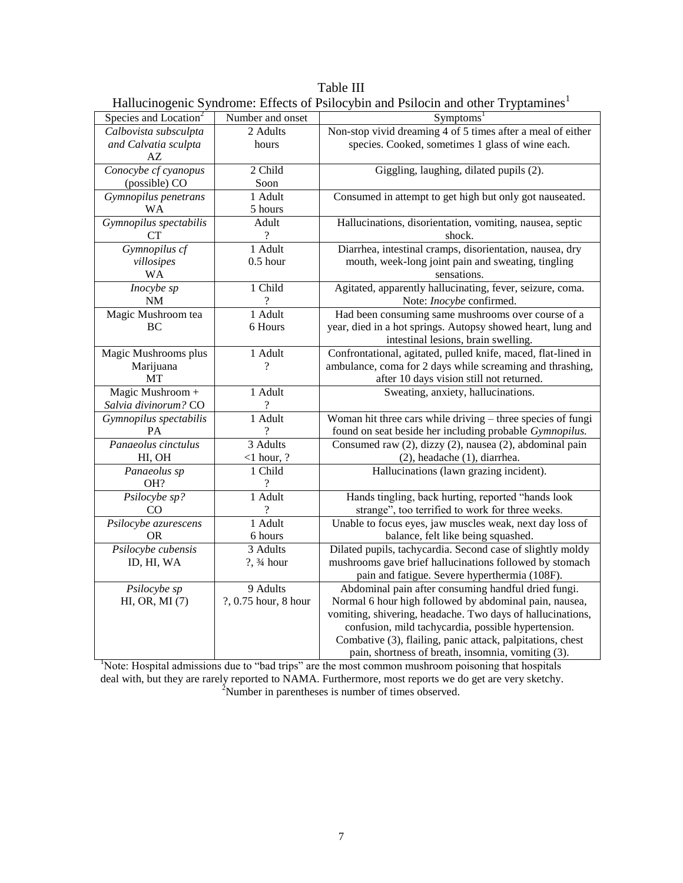Table III Hallucinogenic Syndrome: Effects of Psilocybin and Psilocin and other Tryptamines<sup>1</sup>

| riunuomogeme o                    |                          | $m$ one. Encode of T shoe following Following director $n$ f fundament |
|-----------------------------------|--------------------------|------------------------------------------------------------------------|
| Species and Location <sup>2</sup> | Number and onset         | Symptoms <sup>1</sup>                                                  |
| Calbovista subsculpta             | 2 Adults                 | Non-stop vivid dreaming 4 of 5 times after a meal of either            |
| and Calvatia sculpta              | hours                    | species. Cooked, sometimes 1 glass of wine each.                       |
| AZ                                |                          |                                                                        |
| Conocybe cf cyanopus              | 2 Child                  | Giggling, laughing, dilated pupils (2).                                |
| (possible) CO                     | Soon                     |                                                                        |
| Gymnopilus penetrans              | 1 Adult                  | Consumed in attempt to get high but only got nauseated.                |
| WA                                | 5 hours                  |                                                                        |
| Gymnopilus spectabilis            | Adult                    | Hallucinations, disorientation, vomiting, nausea, septic               |
| <b>CT</b>                         | ?                        | shock.                                                                 |
| Gymnopilus cf                     | 1 Adult                  | Diarrhea, intestinal cramps, disorientation, nausea, dry               |
| villosipes                        | $0.5$ hour               | mouth, week-long joint pain and sweating, tingling                     |
| <b>WA</b>                         |                          | sensations.                                                            |
| Inocybe sp                        | 1 Child                  | Agitated, apparently hallucinating, fever, seizure, coma.              |
| <b>NM</b>                         | ?                        | Note: Inocybe confirmed.                                               |
| Magic Mushroom tea                | 1 Adult                  | Had been consuming same mushrooms over course of a                     |
| BC                                | 6 Hours                  | year, died in a hot springs. Autopsy showed heart, lung and            |
|                                   |                          | intestinal lesions, brain swelling.                                    |
| Magic Mushrooms plus              | 1 Adult                  | Confrontational, agitated, pulled knife, maced, flat-lined in          |
| Marijuana                         | ?                        | ambulance, coma for 2 days while screaming and thrashing,              |
| MT                                |                          | after 10 days vision still not returned.                               |
| Magic Mushroom +                  | 1 Adult                  | Sweating, anxiety, hallucinations.                                     |
| Salvia divinorum? CO              | $\overline{\mathcal{L}}$ |                                                                        |
| Gymnopilus spectabilis            | 1 Adult                  | Woman hit three cars while driving - three species of fungi            |
| PA                                |                          | found on seat beside her including probable Gymnopilus.                |
| Panaeolus cinctulus               | 3 Adults                 | Consumed raw (2), dizzy (2), nausea (2), abdominal pain                |
| HI, OH                            | $<$ 1 hour, ?            | (2), headache (1), diarrhea.                                           |
| Panaeolus sp                      | 1 Child                  | Hallucinations (lawn grazing incident).                                |
| OH?                               | ?                        |                                                                        |
| Psilocybe sp?                     | 1 Adult                  | Hands tingling, back hurting, reported "hands look                     |
| CO                                | $\overline{\mathcal{C}}$ | strange", too terrified to work for three weeks.                       |
| Psilocybe azurescens              | 1 Adult                  | Unable to focus eyes, jaw muscles weak, next day loss of               |
| <b>OR</b>                         | 6 hours                  | balance, felt like being squashed.                                     |
| Psilocybe cubensis                | 3 Adults                 | Dilated pupils, tachycardia. Second case of slightly moldy             |
| ID, HI, WA                        | ?, 3⁄4 hour              | mushrooms gave brief hallucinations followed by stomach                |
|                                   |                          | pain and fatigue. Severe hyperthermia (108F).                          |
| Psilocybe sp                      | 9 Adults                 | Abdominal pain after consuming handful dried fungi.                    |
| $HI, OR, MI$ $(7)$                | ?, 0.75 hour, 8 hour     | Normal 6 hour high followed by abdominal pain, nausea,                 |
|                                   |                          | vomiting, shivering, headache. Two days of hallucinations,             |
|                                   |                          | confusion, mild tachycardia, possible hypertension.                    |
|                                   |                          | Combative (3), flailing, panic attack, palpitations, chest             |
|                                   |                          | pain, shortness of breath, insomnia, vomiting (3).                     |

<sup>1</sup>Note: Hospital admissions due to "bad trips" are the most common mushroom poisoning that hospitals deal with, but they are rarely reported to NAMA. Furthermore, most reports we do get are very sketchy.  $2$ Number in parentheses is number of times observed.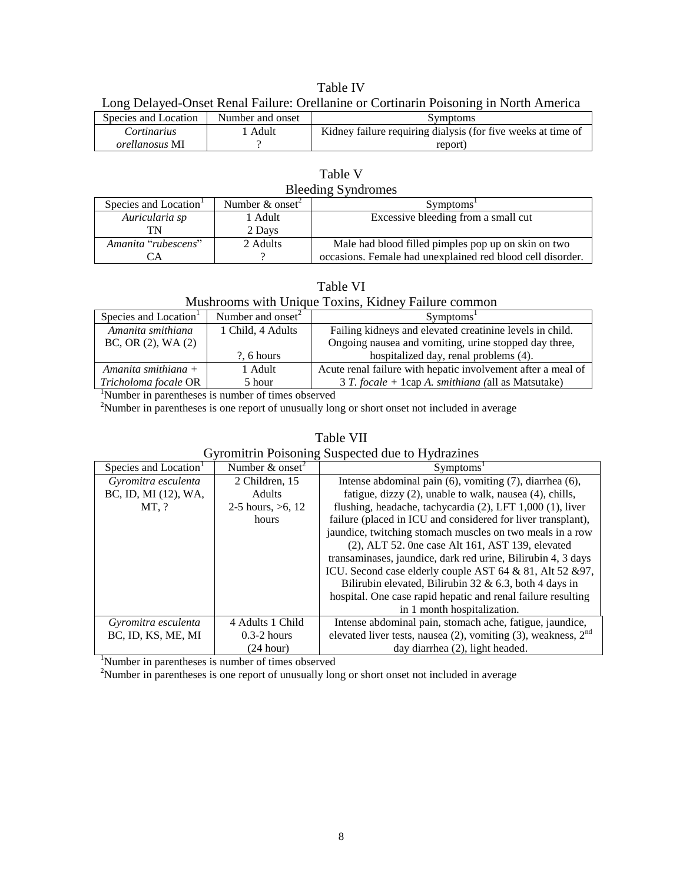| <b>Table IV</b>                                                                       |
|---------------------------------------------------------------------------------------|
| Long Delayed-Onset Renal Failure: Orellanine or Cortinarin Poisoning in North America |

| Long Delayed Onset Kenar I andre. Orenamile or Cortinarin I obsolute in Fortun I anterica |                  |                                                              |
|-------------------------------------------------------------------------------------------|------------------|--------------------------------------------------------------|
| Species and Location                                                                      | Number and onset | Symptoms                                                     |
| <i>Cortinarius</i>                                                                        | Adult            | Kidney failure requiring dialysis (for five weeks at time of |
| <i>orellanosus</i> MI                                                                     |                  | report)                                                      |

| Table V                   |
|---------------------------|
| <b>Bleeding Syndromes</b> |

| Species and Location <sup>1</sup> | Number $\&$ onset <sup>2</sup> | Symptoms <sup>1</sup>                                      |
|-----------------------------------|--------------------------------|------------------------------------------------------------|
| Auricularia sp                    | l Adult                        | Excessive bleeding from a small cut                        |
| TN                                | 2 Days                         |                                                            |
| Amanita "rubescens"               | 2 Adults                       | Male had blood filled pimples pop up on skin on two        |
|                                   |                                | occasions. Female had unexplained red blood cell disorder. |

#### Table VI

### Mushrooms with Unique Toxins, Kidney Failure common

| Species and Location | Number and onset $2$ | Symptoms <sup>1</sup>                                        |
|----------------------|----------------------|--------------------------------------------------------------|
| Amanita smithiana    | 1 Child, 4 Adults    | Failing kidneys and elevated creatinine levels in child.     |
| BC, OR (2), WA (2)   |                      | Ongoing nausea and vomiting, urine stopped day three,        |
|                      | $?$ , 6 hours        | hospitalized day, renal problems (4).                        |
| Amanita smithiana +  | 1 Adult              | Acute renal failure with hepatic involvement after a meal of |
| Tricholoma focale OR | 5 hour               | $3 T. focale + 1 cap A. smithiana (all as Matsutake)$        |

<sup>1</sup>Number in parentheses is number of times observed

 $2$ Number in parentheses is one report of unusually long or short onset not included in average

## Table VII

# Gyromitrin Poisoning Suspected due to Hydrazines

| Species and Location <sup>1</sup> | Number $\&$ onset <sup>2</sup> | Symptoms <sup>1</sup>                                                 |
|-----------------------------------|--------------------------------|-----------------------------------------------------------------------|
| Gyromitra esculenta               | 2 Children, 15                 | Intense abdominal pain (6), vomiting (7), diarrhea (6),               |
| BC, ID, MI (12), WA,              | Adults                         | fatigue, dizzy (2), unable to walk, nausea (4), chills,               |
| MT, ?                             | 2-5 hours, $>6$ , 12           | flushing, headache, tachycardia (2), LFT 1,000 (1), liver             |
|                                   | hours                          | failure (placed in ICU and considered for liver transplant),          |
|                                   |                                | jaundice, twitching stomach muscles on two meals in a row             |
|                                   |                                | $(2)$ , ALT 52. One case Alt 161, AST 139, elevated                   |
|                                   |                                | transaminases, jaundice, dark red urine, Bilirubin 4, 3 days          |
|                                   |                                | ICU. Second case elderly couple AST 64 & 81, Alt 52 & 97,             |
|                                   |                                | Bilirubin elevated, Bilirubin 32 & 6.3, both 4 days in                |
|                                   |                                | hospital. One case rapid hepatic and renal failure resulting          |
|                                   |                                | in 1 month hospitalization.                                           |
| Gyromitra esculenta               | 4 Adults 1 Child               | Intense abdominal pain, stomach ache, fatigue, jaundice,              |
| BC, ID, KS, ME, MI                | $0.3-2$ hours                  | elevated liver tests, nausea $(2)$ , vomiting $(3)$ , weakness, $2nd$ |
|                                   | (24 hour)                      | day diarrhea (2), light headed.                                       |

<sup>1</sup>Number in parentheses is number of times observed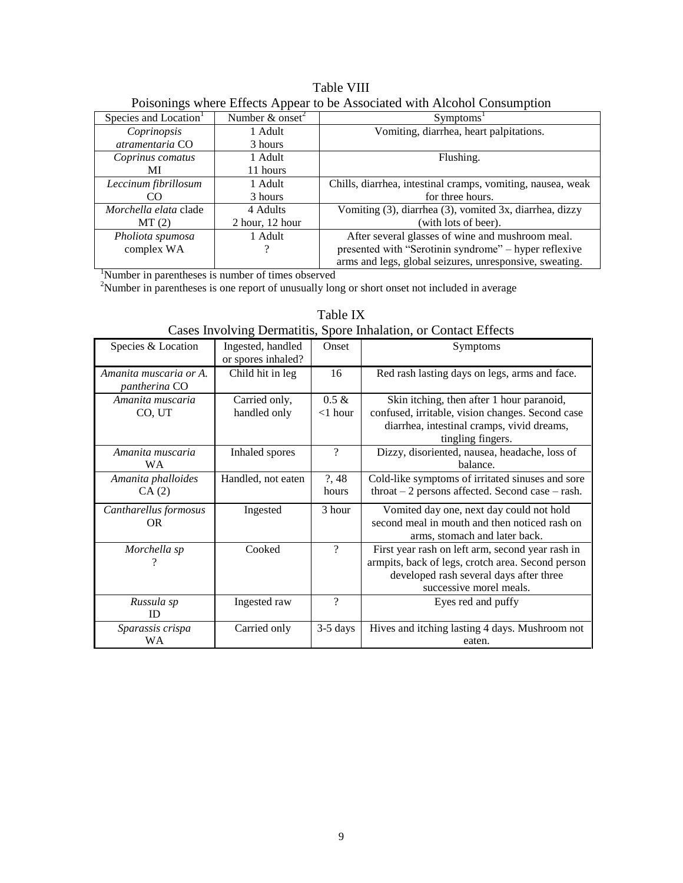| <b>Table VIII</b>                                                         |  |
|---------------------------------------------------------------------------|--|
| Poisonings where Effects Appear to be Associated with Alcohol Consumption |  |

|                                   |                                | I offering where Entered I appear to be I hoodented with I heonor Constant prior |
|-----------------------------------|--------------------------------|----------------------------------------------------------------------------------|
| Species and Location <sup>1</sup> | Number $\&$ onset <sup>2</sup> | Symptoms <sup>1</sup>                                                            |
| Coprinopsis                       | 1 Adult                        | Vomiting, diarrhea, heart palpitations.                                          |
| atramentaria CO                   | 3 hours                        |                                                                                  |
| Coprinus comatus                  | 1 Adult                        | Flushing.                                                                        |
| МI                                | 11 hours                       |                                                                                  |
| Leccinum fibrillosum              | 1 Adult                        | Chills, diarrhea, intestinal cramps, vomiting, nausea, weak                      |
| CO                                | 3 hours                        | for three hours.                                                                 |
| Morchella elata clade             | 4 Adults                       | Vomiting (3), diarrhea (3), vomited 3x, diarrhea, dizzy                          |
| MT(2)                             | $2$ hour, 12 hour              | (with lots of beer).                                                             |
| Pholiota spumosa                  | 1 Adult                        | After several glasses of wine and mushroom meal.                                 |
| complex WA                        |                                | presented with "Serotinin syndrome" - hyper reflexive                            |
|                                   |                                | arms and legs, global seizures, unresponsive, sweating.                          |

|                                         |                                         |                          | co myorring B chinamic, opore immanent, or comate Br                                                                                                                        |
|-----------------------------------------|-----------------------------------------|--------------------------|-----------------------------------------------------------------------------------------------------------------------------------------------------------------------------|
| Species & Location                      | Ingested, handled<br>or spores inhaled? | Onset                    | Symptoms                                                                                                                                                                    |
| Amanita muscaria or A.<br>pantherina CO | Child hit in leg                        | 16                       | Red rash lasting days on legs, arms and face.                                                                                                                               |
| Amanita muscaria<br>CO, UT              | Carried only,<br>handled only           | $0.5 \&$<br>$<$ 1 hour   | Skin itching, then after 1 hour paranoid,<br>confused, irritable, vision changes. Second case<br>diarrhea, intestinal cramps, vivid dreams,<br>tingling fingers.            |
| Amanita muscaria<br>WA.                 | Inhaled spores                          | $\overline{\mathcal{C}}$ | Dizzy, disoriented, nausea, headache, loss of<br>balance.                                                                                                                   |
| Amanita phalloides<br>CA(2)             | Handled, not eaten                      | ?,48<br>hours            | Cold-like symptoms of irritated sinuses and sore<br>$throat - 2$ persons affected. Second case $-$ rash.                                                                    |
| Cantharellus formosus<br>OR.            | Ingested                                | 3 hour                   | Vomited day one, next day could not hold<br>second meal in mouth and then noticed rash on<br>arms, stomach and later back.                                                  |
| Morchella sp                            | Cooked                                  | ?                        | First year rash on left arm, second year rash in<br>armpits, back of legs, crotch area. Second person<br>developed rash several days after three<br>successive morel meals. |
| Russula sp<br>ID                        | Ingested raw                            | ?                        | Eyes red and puffy                                                                                                                                                          |
| Sparassis crispa<br>WA                  | Carried only                            | $3-5$ days               | Hives and itching lasting 4 days. Mushroom not<br>eaten.                                                                                                                    |

Table IX Cases Involving Dermatitis, Spore Inhalation, or Contact Effects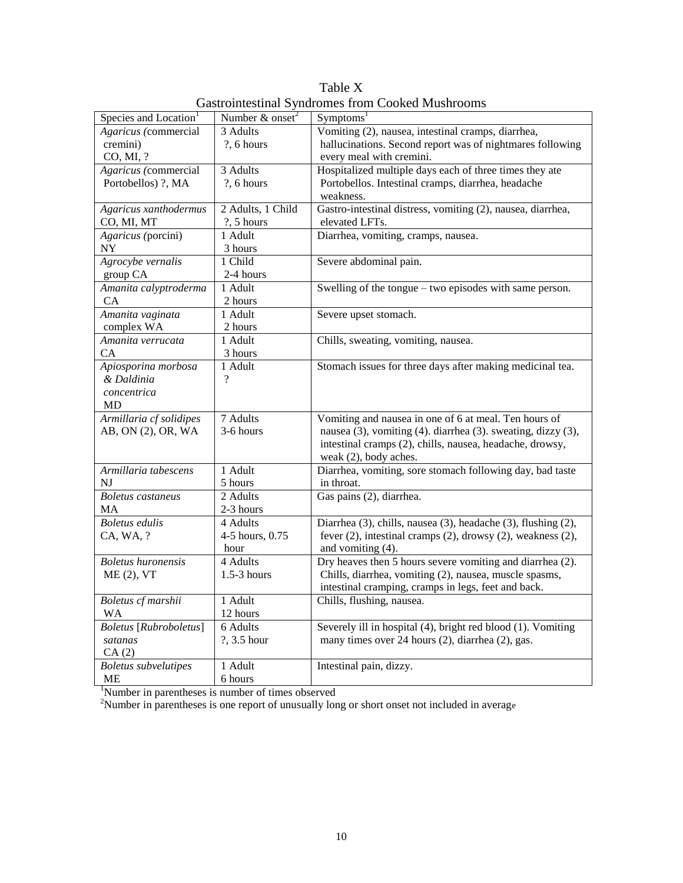|                                   |                               | oustromesting by neromes from cooked musin comp               |
|-----------------------------------|-------------------------------|---------------------------------------------------------------|
| Species and Location <sup>1</sup> | Number $&$ onset <sup>2</sup> | Symptoms <sup>1</sup>                                         |
| Agaricus (commercial              | 3 Adults                      | Vomiting (2), nausea, intestinal cramps, diarrhea,            |
| cremini)                          | $?$ , 6 hours                 | hallucinations. Second report was of nightmares following     |
| CO, MI, ?                         |                               | every meal with cremini.                                      |
| Agaricus (commercial              | 3 Adults                      | Hospitalized multiple days each of three times they ate       |
| Portobellos) ?, MA                | ?, 6 hours                    | Portobellos. Intestinal cramps, diarrhea, headache            |
|                                   |                               | weakness.                                                     |
| Agaricus xanthodermus             | 2 Adults, 1 Child             | Gastro-intestinal distress, vomiting (2), nausea, diarrhea,   |
| CO, MI, MT                        | $?$ , 5 hours                 | elevated LFTs.                                                |
| Agaricus (porcini)                | $1$ Adult                     | Diarrhea, vomiting, cramps, nausea.                           |
| $\ensuremath{\text{NY}}$          | 3 hours                       |                                                               |
| Agrocybe vernalis                 | 1 Child                       | Severe abdominal pain.                                        |
| group CA                          | 2-4 hours                     |                                                               |
| Amanita calyptroderma             | 1 Adult                       | Swelling of the tongue – two episodes with same person.       |
| CA                                | 2 hours                       |                                                               |
| Amanita vaginata                  | 1 Adult                       | Severe upset stomach.                                         |
| complex WA                        | 2 hours                       |                                                               |
| Amanita verrucata                 | 1 Adult                       | Chills, sweating, vomiting, nausea.                           |
| CA                                | 3 hours                       |                                                               |
| Apiosporina morbosa               | 1 Adult                       | Stomach issues for three days after making medicinal tea.     |
| & Daldinia                        | $\gamma$                      |                                                               |
| concentrica                       |                               |                                                               |
| MD                                |                               |                                                               |
| Armillaria cf solidipes           | 7 Adults                      | Vomiting and nausea in one of 6 at meal. Ten hours of         |
| AB, ON (2), OR, WA                | 3-6 hours                     | nausea (3), vomiting (4). diarrhea (3). sweating, dizzy (3),  |
|                                   |                               | intestinal cramps (2), chills, nausea, headache, drowsy,      |
|                                   |                               | weak (2), body aches.                                         |
| Armillaria tabescens              | 1 Adult                       | Diarrhea, vomiting, sore stomach following day, bad taste     |
| NJ                                | 5 hours                       | in throat.                                                    |
| <b>Boletus</b> castaneus          | 2 Adults                      | Gas pains (2), diarrhea.                                      |
| MA                                | 2-3 hours                     |                                                               |
| <b>Boletus</b> edulis             | 4 Adults                      | Diarrhea (3), chills, nausea (3), headache (3), flushing (2), |
| CA, WA, ?                         | 4-5 hours, 0.75               | fever (2), intestinal cramps (2), drowsy (2), weakness (2),   |
|                                   | hour                          | and vomiting (4).                                             |
| <b>Boletus</b> huronensis         | 4 Adults                      | Dry heaves then 5 hours severe vomiting and diarrhea (2).     |
| ME (2), VT                        | $1.5-3$ hours                 | Chills, diarrhea, vomiting (2), nausea, muscle spasms,        |
|                                   |                               | intestinal cramping, cramps in legs, feet and back.           |
| Boletus cf marshii                | 1 Adult                       | Chills, flushing, nausea.                                     |
| WA                                | 12 hours                      |                                                               |
| <b>Boletus</b> [Rubroboletus]     | 6 Adults                      | Severely ill in hospital (4), bright red blood (1). Vomiting  |
| satanas                           | ?, 3.5 hour                   | many times over 24 hours (2), diarrhea (2), gas.              |
| CA(2)                             |                               |                                                               |
| <b>Boletus</b> subvelutipes       | 1 Adult                       | Intestinal pain, dizzy.                                       |
| ME                                | 6 hours                       |                                                               |

Table X Gastrointestinal Syndromes from Cooked Mushrooms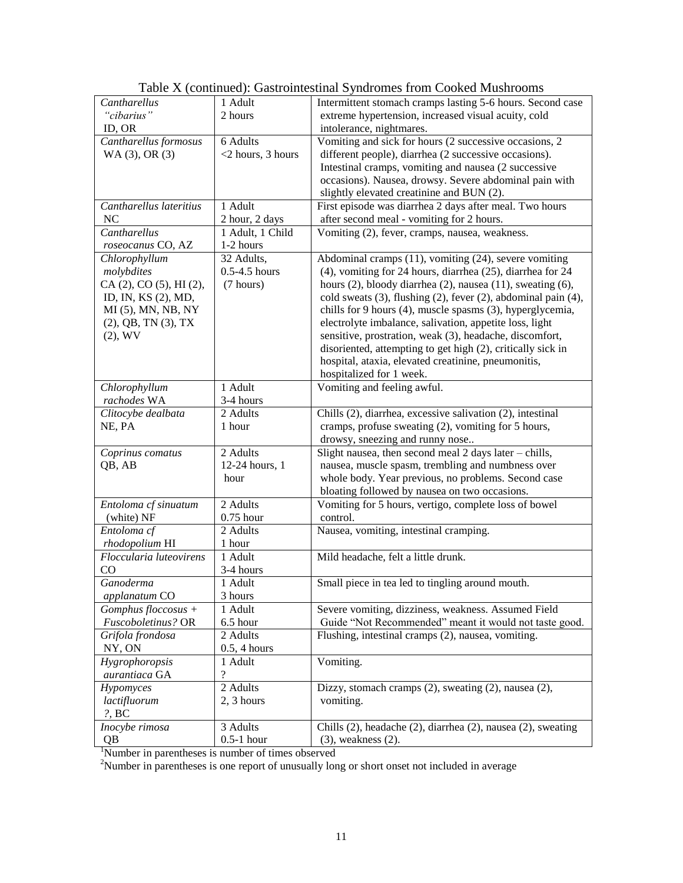| Cantharellus              | 1 Adult               | Intermittent stomach cramps lasting 5-6 hours. Second case             |  |
|---------------------------|-----------------------|------------------------------------------------------------------------|--|
| "cibarius"                | 2 hours               | extreme hypertension, increased visual acuity, cold                    |  |
| ID, OR                    |                       | intolerance, nightmares.                                               |  |
| Cantharellus formosus     | 6 Adults              | Vomiting and sick for hours (2 successive occasions, 2                 |  |
| WA (3), OR (3)            | <2 hours, 3 hours     | different people), diarrhea (2 successive occasions).                  |  |
|                           |                       | Intestinal cramps, vomiting and nausea (2 successive                   |  |
|                           |                       | occasions). Nausea, drowsy. Severe abdominal pain with                 |  |
|                           |                       | slightly elevated creatinine and BUN (2).                              |  |
| Cantharellus lateritius   | 1 Adult               | First episode was diarrhea 2 days after meal. Two hours                |  |
| N <sub>C</sub>            | 2 hour, 2 days        | after second meal - vomiting for 2 hours.                              |  |
| Cantharellus              | 1 Adult, 1 Child      | Vomiting (2), fever, cramps, nausea, weakness.                         |  |
| roseocanus CO, AZ         | 1-2 hours             |                                                                        |  |
| Chlorophyllum             | 32 Adults,            | Abdominal cramps (11), vomiting (24), severe vomiting                  |  |
| molybdites                | $0.5-4.5$ hours       | (4), vomiting for 24 hours, diarrhea (25), diarrhea for 24             |  |
| CA (2), CO (5), HI (2),   | (7 hours)             | hours $(2)$ , bloody diarrhea $(2)$ , nausea $(11)$ , sweating $(6)$ , |  |
| ID, IN, KS (2), MD,       |                       | cold sweats (3), flushing (2), fever (2), abdominal pain (4),          |  |
| MI (5), MN, NB, NY        |                       | chills for 9 hours (4), muscle spasms (3), hyperglycemia,              |  |
| $(2)$ , QB, TN $(3)$ , TX |                       | electrolyte imbalance, salivation, appetite loss, light                |  |
| $(2)$ , WV                |                       | sensitive, prostration, weak (3), headache, discomfort,                |  |
|                           |                       | disoriented, attempting to get high (2), critically sick in            |  |
|                           |                       | hospital, ataxia, elevated creatinine, pneumonitis,                    |  |
|                           |                       | hospitalized for 1 week.                                               |  |
| Chlorophyllum             | 1 Adult               | Vomiting and feeling awful.                                            |  |
| rachodes WA               | 3-4 hours             |                                                                        |  |
| Clitocybe dealbata        | 2 Adults              | Chills (2), diarrhea, excessive salivation (2), intestinal             |  |
| NE, PA                    | 1 hour                | cramps, profuse sweating (2), vomiting for 5 hours,                    |  |
|                           |                       | drowsy, sneezing and runny nose                                        |  |
| Coprinus comatus          | 2 Adults              | Slight nausea, then second meal 2 days later - chills,                 |  |
| QB, AB                    | 12-24 hours, 1        | nausea, muscle spasm, trembling and numbness over                      |  |
|                           | hour                  | whole body. Year previous, no problems. Second case                    |  |
|                           |                       | bloating followed by nausea on two occasions.                          |  |
| Entoloma cf sinuatum      | 2 Adults              | Vomiting for 5 hours, vertigo, complete loss of bowel                  |  |
| (white) NF                | $0.75$ hour           | control.                                                               |  |
| Entoloma cf               | 2 Adults              | Nausea, vomiting, intestinal cramping.                                 |  |
| rhodopolium HI            | 1 hour                |                                                                        |  |
| Floccularia luteovirens   | 1 Adult               | Mild headache, felt a little drunk.                                    |  |
| CO                        | 3-4 hours             |                                                                        |  |
| Ganoderma                 | 1 Adult               | Small piece in tea led to tingling around mouth.                       |  |
| <i>applanatum</i> CO      | 3 hours               |                                                                        |  |
| $Gomplus floccosus +$     | 1 Adult               | Severe vomiting, dizziness, weakness. Assumed Field                    |  |
| Fuscoboletinus? OR        | 6.5 hour              | Guide "Not Recommended" meant it would not taste good.                 |  |
| Grifola frondosa          | 2 Adults              | Flushing, intestinal cramps (2), nausea, vomiting.                     |  |
| NY, ON                    | 0.5, 4 hours          |                                                                        |  |
| Hygrophoropsis            | 1 Adult               | Vomiting.                                                              |  |
| aurantiaca GA             | $\ddot{?}$            |                                                                        |  |
| Hypomyces                 | 2 Adults              | Dizzy, stomach cramps (2), sweating (2), nausea (2),                   |  |
| lactifluorum              | 2, 3 hours            | vomiting.                                                              |  |
| $?$ , BC                  |                       |                                                                        |  |
| Inocybe rimosa            | $\overline{3}$ Adults | Chills (2), headache (2), diarrhea (2), nausea (2), sweating           |  |
| QB                        | $0.5-1$ hour          | $(3)$ , weakness $(2)$ .                                               |  |

Table X (continued): Gastrointestinal Syndromes from Cooked Mushrooms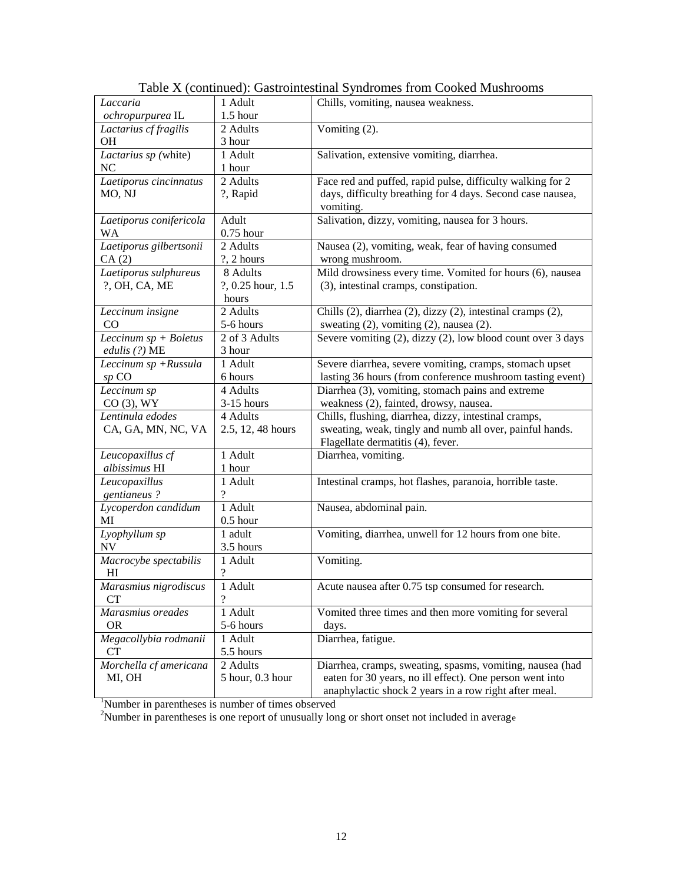| Laccaria                           | 1 Adult           | Chills, vomiting, nausea weakness.                          |  |
|------------------------------------|-------------------|-------------------------------------------------------------|--|
| ochropurpurea IL                   | 1.5 hour          |                                                             |  |
| Lactarius cf fragilis              | 2 Adults          | Vomiting (2).                                               |  |
| <b>OH</b>                          | 3 hour            |                                                             |  |
| Lactarius sp (white)               | 1 Adult           | Salivation, extensive vomiting, diarrhea.                   |  |
| NC                                 | 1 hour            |                                                             |  |
| Laetiporus cincinnatus             | 2 Adults          | Face red and puffed, rapid pulse, difficulty walking for 2  |  |
| MO, NJ                             | ?, Rapid          | days, difficulty breathing for 4 days. Second case nausea,  |  |
|                                    |                   | vomiting.                                                   |  |
| Laetiporus conifericola            | Adult             | Salivation, dizzy, vomiting, nausea for 3 hours.            |  |
| <b>WA</b>                          | $0.75$ hour       |                                                             |  |
| Laetiporus gilbertsonii            | 2 Adults          | Nausea (2), vomiting, weak, fear of having consumed         |  |
| CA(2)                              | ?, 2 hours        | wrong mushroom.                                             |  |
| Laetiporus sulphureus              | 8 Adults          | Mild drowsiness every time. Vomited for hours (6), nausea   |  |
| ?, OH, CA, ME                      | ?, 0.25 hour, 1.5 | (3), intestinal cramps, constipation.                       |  |
|                                    | hours             |                                                             |  |
| Leccinum insigne                   | 2 Adults          | Chills (2), diarrhea (2), dizzy (2), intestinal cramps (2), |  |
| CO                                 | 5-6 hours         | sweating (2), vomiting (2), nausea (2).                     |  |
| $\overline{Leccinum}$ sp + Boletus | 2 of 3 Adults     | Severe vomiting (2), dizzy (2), low blood count over 3 days |  |
| edulis (?) ME                      | 3 hour            |                                                             |  |
| Leccinum sp +Russula               | 1 Adult           | Severe diarrhea, severe vomiting, cramps, stomach upset     |  |
| $sp$ CO                            | 6 hours           | lasting 36 hours (from conference mushroom tasting event)   |  |
| Leccinum sp                        | 4 Adults          | Diarrhea $(3)$ , vomiting, stomach pains and extreme        |  |
| $CO(3)$ , WY                       | $3-15$ hours      | weakness (2), fainted, drowsy, nausea.                      |  |
| Lentinula edodes                   | 4 Adults          | Chills, flushing, diarrhea, dizzy, intestinal cramps,       |  |
| CA, GA, MN, NC, VA                 | 2.5, 12, 48 hours | sweating, weak, tingly and numb all over, painful hands.    |  |
|                                    |                   | Flagellate dermatitis (4), fever.                           |  |
| Leucopaxillus cf                   | 1 Adult           | Diarrhea, vomiting.                                         |  |
| albissimus HI                      | 1 hour            |                                                             |  |
| Leucopaxillus                      | 1 Adult           | Intestinal cramps, hot flashes, paranoia, horrible taste.   |  |
| gentianeus?                        | $\overline{?}$    |                                                             |  |
| Lycoperdon candidum                | 1 Adult           | Nausea, abdominal pain.                                     |  |
| MI                                 | $0.5$ hour        |                                                             |  |
| Lyophyllum sp                      | 1 adult           | Vomiting, diarrhea, unwell for 12 hours from one bite.      |  |
| NV                                 | 3.5 hours         |                                                             |  |
| Macrocybe spectabilis              | 1 Adult           | Vomiting.                                                   |  |
| H1                                 | $\gamma$          |                                                             |  |
| Marasmius nigrodiscus              | 1 Adult           | Acute nausea after 0.75 tsp consumed for research.          |  |
| <b>CT</b>                          | $\overline{?}$    |                                                             |  |
| Marasmius oreades                  | 1 Adult           | Vomited three times and then more vomiting for several      |  |
| <b>OR</b>                          | 5-6 hours         | days.                                                       |  |
| Megacollybia rodmanii              | 1 Adult           | Diarrhea, fatigue.                                          |  |
| CT                                 | 5.5 hours         |                                                             |  |
| Morchella cf americana             | 2 Adults          | Diarrhea, cramps, sweating, spasms, vomiting, nausea (had   |  |
| MI, OH                             | 5 hour, 0.3 hour  | eaten for 30 years, no ill effect). One person went into    |  |
|                                    |                   | anaphylactic shock 2 years in a row right after meal.       |  |

Table X (continued): Gastrointestinal Syndromes from Cooked Mushrooms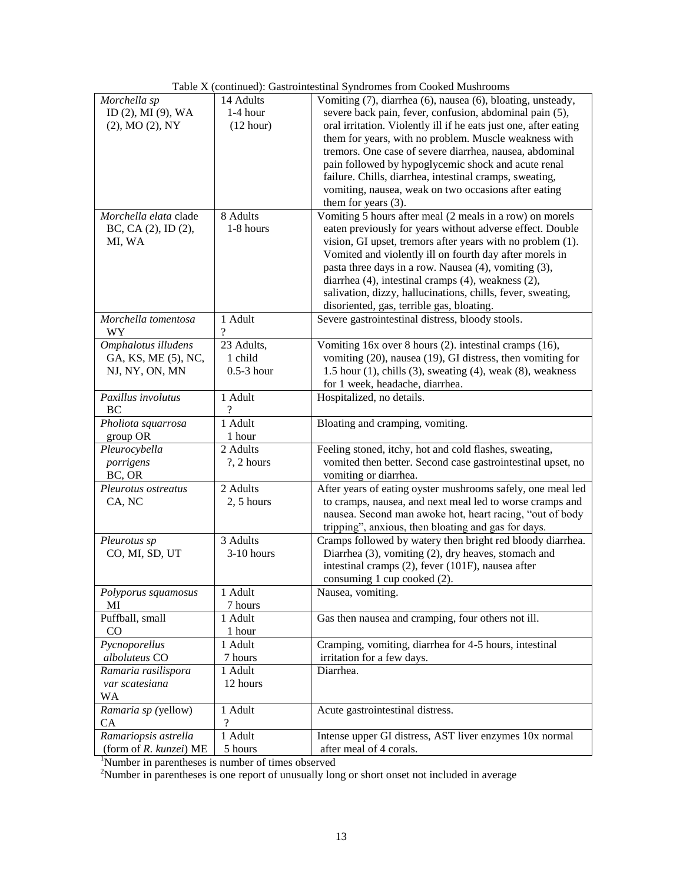|                           |                                     | radic 2x (commuca). Gastromicsunar o yndromes from Cooked Musinooms    |
|---------------------------|-------------------------------------|------------------------------------------------------------------------|
| Morchella sp              | 14 Adults                           | Vomiting (7), diarrhea (6), nausea (6), bloating, unsteady,            |
| ID (2), MI (9), WA        | $1-4$ hour                          | severe back pain, fever, confusion, abdominal pain (5),                |
| (2), MO (2), NY           | (12 hour)                           | oral irritation. Violently ill if he eats just one, after eating       |
|                           |                                     | them for years, with no problem. Muscle weakness with                  |
|                           |                                     | tremors. One case of severe diarrhea, nausea, abdominal                |
|                           |                                     | pain followed by hypoglycemic shock and acute renal                    |
|                           |                                     |                                                                        |
|                           |                                     | failure. Chills, diarrhea, intestinal cramps, sweating,                |
|                           |                                     | vomiting, nausea, weak on two occasions after eating                   |
|                           |                                     | them for years $(3)$ .                                                 |
| Morchella elata clade     | 8 Adults                            | Vomiting 5 hours after meal (2 meals in a row) on morels               |
| BC, CA (2), ID (2),       | 1-8 hours                           | eaten previously for years without adverse effect. Double              |
| MI, WA                    |                                     | vision, GI upset, tremors after years with no problem (1).             |
|                           |                                     | Vomited and violently ill on fourth day after morels in                |
|                           |                                     | pasta three days in a row. Nausea (4), vomiting (3),                   |
|                           |                                     | diarrhea (4), intestinal cramps (4), weakness (2),                     |
|                           |                                     |                                                                        |
|                           |                                     | salivation, dizzy, hallucinations, chills, fever, sweating,            |
|                           |                                     | disoriented, gas, terrible gas, bloating.                              |
| Morchella tomentosa<br>WY | 1 Adult<br>$\overline{\mathcal{C}}$ | Severe gastrointestinal distress, bloody stools.                       |
| Omphalotus illudens       | 23 Adults,                          | Vomiting 16x over 8 hours (2). intestinal cramps (16),                 |
| GA, KS, ME (5), NC,       | 1 child                             | vomiting (20), nausea (19), GI distress, then vomiting for             |
| NJ, NY, ON, MN            | $0.5-3$ hour                        | 1.5 hour $(1)$ , chills $(3)$ , sweating $(4)$ , weak $(8)$ , weakness |
|                           |                                     |                                                                        |
|                           |                                     | for 1 week, headache, diarrhea.                                        |
| Paxillus involutus        | 1 Adult                             | Hospitalized, no details.                                              |
| BC                        | ?                                   |                                                                        |
| Pholiota squarrosa        | 1 Adult                             | Bloating and cramping, vomiting.                                       |
| group OR                  | 1 hour                              |                                                                        |
| Pleurocybella             | 2 Adults                            | Feeling stoned, itchy, hot and cold flashes, sweating,                 |
| porrigens                 | $?$ , 2 hours                       | vomited then better. Second case gastrointestinal upset, no            |
| BC, OR                    |                                     | vomiting or diarrhea.                                                  |
| Pleurotus ostreatus       | 2 Adults                            | After years of eating oyster mushrooms safely, one meal led            |
| CA, NC                    | $2, 5$ hours                        | to cramps, nausea, and next meal led to worse cramps and               |
|                           |                                     | nausea. Second man awoke hot, heart racing, "out of body               |
|                           |                                     | tripping", anxious, then bloating and gas for days.                    |
|                           |                                     |                                                                        |
| Pleurotus sp              | 3 Adults                            | Cramps followed by watery then bright red bloody diarrhea.             |
| CO, MI, SD, UT            | 3-10 hours                          | Diarrhea (3), vomiting (2), dry heaves, stomach and                    |
|                           |                                     | intestinal cramps (2), fever (101F), nausea after                      |
|                           |                                     | consuming 1 cup cooked (2).                                            |
| Polyporus squamosus       | 1 Adult                             | Nausea, vomiting.                                                      |
| MI                        | 7 hours                             |                                                                        |
| Puffball, small           | 1 Adult                             | Gas then nausea and cramping, four others not ill.                     |
| $\rm CO$                  | 1 hour                              |                                                                        |
| Pycnoporellus             | 1 Adult                             | Cramping, vomiting, diarrhea for 4-5 hours, intestinal                 |
| alboluteus CO             | 7 hours                             | irritation for a few days.                                             |
| Ramaria rasilispora       | 1 Adult                             | Diarrhea.                                                              |
|                           |                                     |                                                                        |
| var scatesiana            | 12 hours                            |                                                                        |
| <b>WA</b>                 |                                     |                                                                        |
| Ramaria sp (yellow)       | 1 Adult                             | Acute gastrointestinal distress.                                       |
| <b>CA</b>                 | $\gamma$                            |                                                                        |
| Ramariopsis astrella      | 1 Adult                             | Intense upper GI distress, AST liver enzymes 10x normal                |
| (form of R. kunzei) ME    | 5 hours                             | after meal of 4 corals.                                                |

Table X (continued): Gastrointestinal Syndromes from Cooked Mushrooms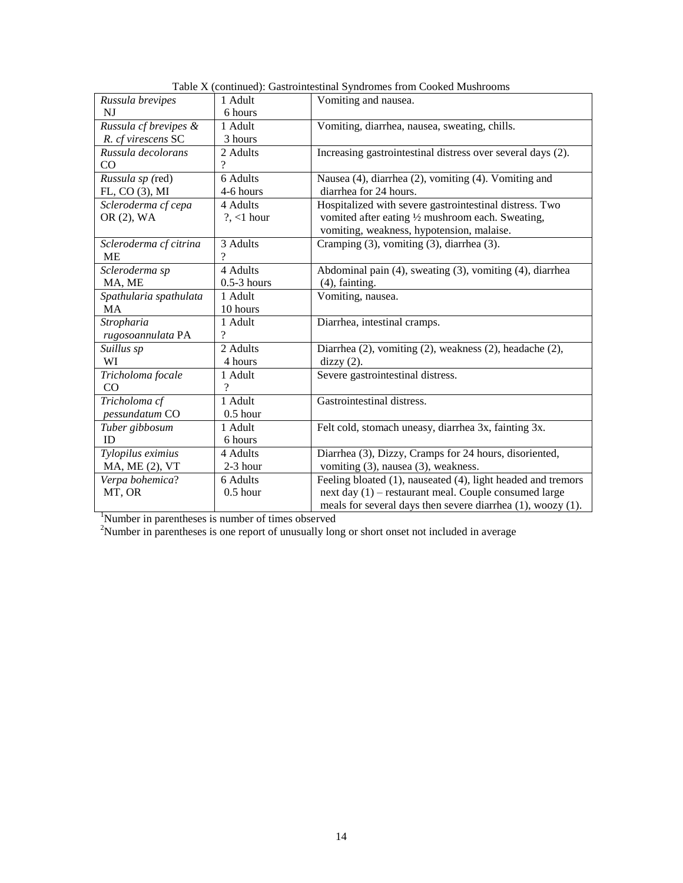| Russula brevipes       | 1 Adult       | Vomiting and nausea.                                         |  |
|------------------------|---------------|--------------------------------------------------------------|--|
| NI                     | 6 hours       |                                                              |  |
| Russula cf brevipes &  | 1 Adult       | Vomiting, diarrhea, nausea, sweating, chills.                |  |
| R. cf virescens SC     | 3 hours       |                                                              |  |
| Russula decolorans     | 2 Adults      | Increasing gastrointestinal distress over several days (2).  |  |
| CO                     | $\gamma$      |                                                              |  |
| Russula sp (red)       | 6 Adults      | Nausea (4), diarrhea (2), vomiting (4). Vomiting and         |  |
| FL, CO (3), MI         | 4-6 hours     | diarrhea for 24 hours.                                       |  |
| Scleroderma cf cepa    | 4 Adults      | Hospitalized with severe gastrointestinal distress. Two      |  |
| OR (2), WA             | $?$ , <1 hour | vomited after eating 1/2 mushroom each. Sweating,            |  |
|                        |               | vomiting, weakness, hypotension, malaise.                    |  |
| Scleroderma cf citrina | 3 Adults      | Cramping (3), vomiting (3), diarrhea (3).                    |  |
| <b>ME</b>              | ?             |                                                              |  |
| Scleroderma sp         | 4 Adults      | Abdominal pain (4), sweating (3), vomiting (4), diarrhea     |  |
| MA, ME                 | $0.5-3$ hours | $(4)$ , fainting.                                            |  |
| Spathularia spathulata | 1 Adult       | Vomiting, nausea.                                            |  |
| <b>MA</b>              | 10 hours      |                                                              |  |
| Stropharia             | 1 Adult       | Diarrhea, intestinal cramps.                                 |  |
| rugosoannulata PA      | ?             |                                                              |  |
| Suillus sp             | 2 Adults      | Diarrhea (2), vomiting (2), weakness (2), headache (2),      |  |
| WI                     | 4 hours       | $\text{dizzy}(2)$ .                                          |  |
| Tricholoma focale      | 1 Adult       | Severe gastrointestinal distress.                            |  |
| CO                     | 9             |                                                              |  |
| Tricholoma cf          | 1 Adult       | Gastrointestinal distress.                                   |  |
| pessundatum CO         | $0.5$ hour    |                                                              |  |
| Tuber gibbosum         | 1 Adult       | Felt cold, stomach uneasy, diarrhea 3x, fainting 3x.         |  |
| ID                     | 6 hours       |                                                              |  |
| Tylopilus eximius      | 4 Adults      | Diarrhea (3), Dizzy, Cramps for 24 hours, disoriented,       |  |
| MA, ME (2), VT         | 2-3 hour      | vomiting (3), nausea (3), weakness.                          |  |
| Verpa bohemica?        | 6 Adults      | Feeling bloated (1), nauseated (4), light headed and tremors |  |
| MT, OR                 | $0.5$ hour    | next day (1) - restaurant meal. Couple consumed large        |  |
|                        |               | meals for several days then severe diarrhea (1), woozy (1).  |  |

Table X (continued): Gastrointestinal Syndromes from Cooked Mushrooms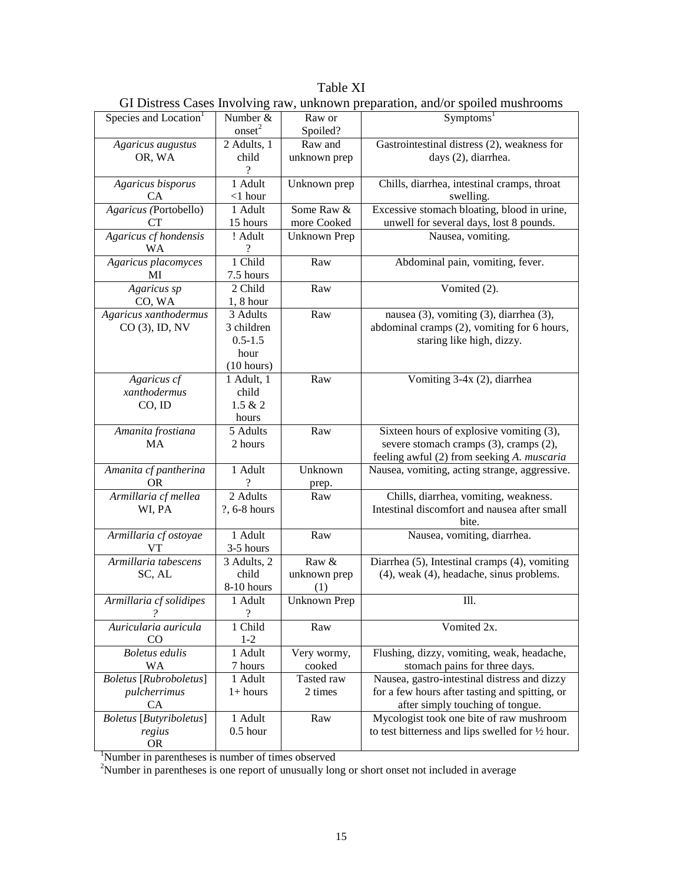Table XI GI Distress Cases Involving raw, unknown preparation, and/or spoiled mushrooms

| Species and Location <sup>1</sup> | Number &           | Raw or              | Symptoms <sup>1</sup>                                                                 |
|-----------------------------------|--------------------|---------------------|---------------------------------------------------------------------------------------|
|                                   | onset <sup>2</sup> | Spoiled?            |                                                                                       |
| Agaricus augustus                 | 2 Adults, 1        | Raw and             | Gastrointestinal distress (2), weakness for                                           |
| OR, WA                            | child              | unknown prep        | days (2), diarrhea.                                                                   |
|                                   |                    |                     |                                                                                       |
| Agaricus bisporus                 | 1 Adult            | Unknown prep        | Chills, diarrhea, intestinal cramps, throat                                           |
| СA                                | $<$ 1 hour         |                     | swelling.                                                                             |
| Agaricus (Portobello)             | 1 Adult            | Some Raw &          | Excessive stomach bloating, blood in urine,                                           |
| CТ                                | 15 hours           | more Cooked         | unwell for several days, lost 8 pounds.                                               |
| Agaricus cf hondensis             | ! Adult            | <b>Unknown Prep</b> | Nausea, vomiting.                                                                     |
| WA                                |                    |                     |                                                                                       |
| Agaricus placomyces               | 1 Child            | Raw                 | Abdominal pain, vomiting, fever.                                                      |
| МI                                | 7.5 hours          |                     |                                                                                       |
| Agaricus sp                       | 2 Child            | Raw                 | Vomited (2).                                                                          |
| CO, WA                            | $1, 8$ hour        |                     |                                                                                       |
| Agaricus xanthodermus             | 3 Adults           | Raw                 | nausea (3), vomiting (3), diarrhea (3),                                               |
| CO (3), ID, NV                    | 3 children         |                     | abdominal cramps (2), vomiting for 6 hours,                                           |
|                                   | $0.5 - 1.5$        |                     | staring like high, dizzy.                                                             |
|                                   | hour               |                     |                                                                                       |
|                                   | (10 hours)         |                     |                                                                                       |
| Agaricus cf                       | 1 Adult, 1         | Raw                 | Vomiting 3-4x (2), diarrhea                                                           |
| xanthodermus                      | child              |                     |                                                                                       |
| CO, ID                            | 1.5 & 2            |                     |                                                                                       |
|                                   | hours              |                     |                                                                                       |
| Amanita frostiana                 | 5 Adults           | Raw                 | Sixteen hours of explosive vomiting (3),                                              |
| <b>MA</b>                         | 2 hours            |                     | severe stomach cramps (3), cramps (2),                                                |
|                                   |                    |                     | feeling awful (2) from seeking A. muscaria                                            |
| Amanita cf pantherina             | 1 Adult            | Unknown             | Nausea, vomiting, acting strange, aggressive.                                         |
| <b>OR</b>                         | 2 Adults           | prep.               |                                                                                       |
| Armillaria cf mellea              |                    | Raw                 | Chills, diarrhea, vomiting, weakness.<br>Intestinal discomfort and nausea after small |
| WI, PA                            | ?, 6-8 hours       |                     | bite.                                                                                 |
|                                   | 1 Adult            | Raw                 | Nausea, vomiting, diarrhea.                                                           |
| Armillaria cf ostoyae<br>VТ       | 3-5 hours          |                     |                                                                                       |
| Armillaria tabescens              | 3 Adults, 2        | Raw &               | Diarrhea (5), Intestinal cramps (4), vomiting                                         |
| SC, AL                            | child              | unknown prep        | $(4)$ , weak $(4)$ , headache, sinus problems.                                        |
|                                   | 8-10 hours         | (1)                 |                                                                                       |
| Armillaria cf solidipes           | 1 Adult            | <b>Unknown Prep</b> | Ill.                                                                                  |
|                                   | $\overline{?}$     |                     |                                                                                       |
| Auricularia auricula              | 1 Child            | Raw                 | Vomited 2x.                                                                           |
| CO.                               | $1 - 2$            |                     |                                                                                       |
| <b>Boletus</b> edulis             | 1 Adult            | Very wormy,         | Flushing, dizzy, vomiting, weak, headache,                                            |
| <b>WA</b>                         | 7 hours            | cooked              | stomach pains for three days.                                                         |
| <b>Boletus</b> [Rubroboletus]     | 1 Adult            | Tasted raw          | Nausea, gastro-intestinal distress and dizzy                                          |
| pulcherrimus                      | $1+ hours$         | 2 times             | for a few hours after tasting and spitting, or                                        |
| CA                                |                    |                     | after simply touching of tongue.                                                      |
| <b>Boletus</b> [Butyriboletus]    | 1 Adult            | Raw                 | Mycologist took one bite of raw mushroom                                              |
| regius                            | $0.5$ hour         |                     | to test bitterness and lips swelled for $\frac{1}{2}$ hour.                           |
| <b>OR</b>                         |                    |                     |                                                                                       |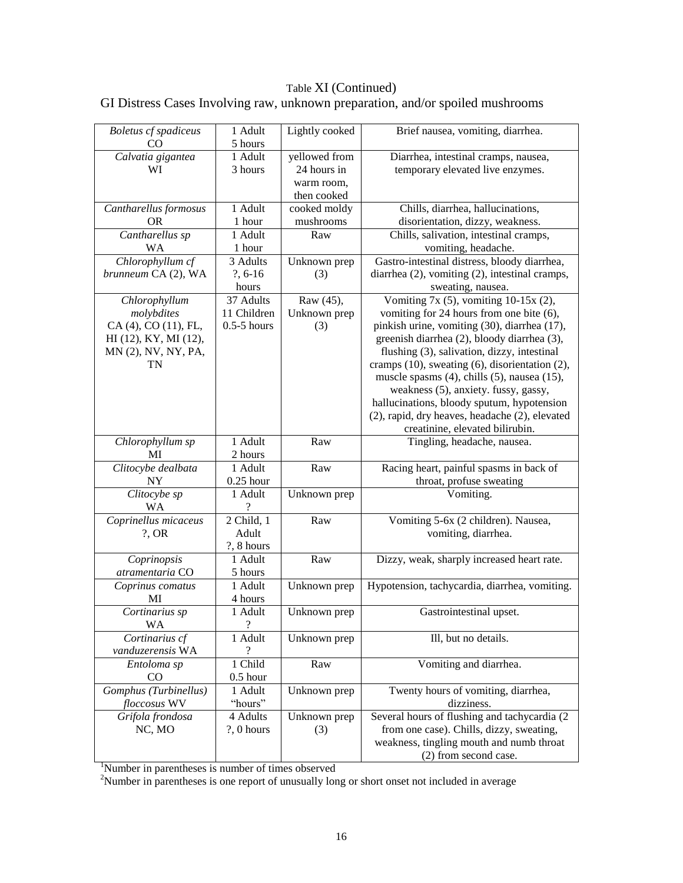## Table XI (Continued)

## GI Distress Cases Involving raw, unknown preparation, and/or spoiled mushrooms

| <b>Boletus</b> cf spadiceus<br>CO | 1 Adult<br>5 hours | Lightly cooked | Brief nausea, vomiting, diarrhea.              |
|-----------------------------------|--------------------|----------------|------------------------------------------------|
| Calvatia gigantea                 | 1 Adult            | yellowed from  | Diarrhea, intestinal cramps, nausea,           |
|                                   |                    |                |                                                |
| WI                                | 3 hours            | 24 hours in    | temporary elevated live enzymes.               |
|                                   |                    | warm room,     |                                                |
|                                   |                    | then cooked    |                                                |
| Cantharellus formosus             | 1 Adult            | cooked moldy   | Chills, diarrhea, hallucinations,              |
| <b>OR</b>                         | 1 hour             | mushrooms      | disorientation, dizzy, weakness.               |
| Cantharellus sp                   | 1 Adult            | Raw            | Chills, salivation, intestinal cramps,         |
| WA                                | 1 hour             |                | vomiting, headache.                            |
| Chlorophyllum cf                  | 3 Adults           | Unknown prep   | Gastro-intestinal distress, bloody diarrhea,   |
| brunneum CA (2), WA               | $?, 6-16$          | (3)            | diarrhea (2), vomiting (2), intestinal cramps, |
|                                   | hours              |                | sweating, nausea.                              |
| Chlorophyllum                     | 37 Adults          | Raw (45),      | Vomiting 7x (5), vomiting 10-15x (2),          |
|                                   |                    |                |                                                |
| molybdites                        | 11 Children        | Unknown prep   | vomiting for 24 hours from one bite (6),       |
| CA (4), CO (11), FL,              | $0.5-5$ hours      | (3)            | pinkish urine, vomiting (30), diarrhea (17),   |
| HI (12), KY, MI (12),             |                    |                | greenish diarrhea (2), bloody diarrhea (3),    |
| MN (2), NV, NY, PA,               |                    |                | flushing (3), salivation, dizzy, intestinal    |
| TN                                |                    |                | cramps (10), sweating (6), disorientation (2), |
|                                   |                    |                | muscle spasms (4), chills (5), nausea (15),    |
|                                   |                    |                | weakness (5), anxiety. fussy, gassy,           |
|                                   |                    |                | hallucinations, bloody sputum, hypotension     |
|                                   |                    |                | (2), rapid, dry heaves, headache (2), elevated |
|                                   |                    |                |                                                |
|                                   |                    |                | creatinine, elevated bilirubin.                |
| Chlorophyllum sp                  | 1 Adult            | Raw            | Tingling, headache, nausea.                    |
| MI                                | 2 hours            |                |                                                |
| Clitocybe dealbata                | 1 Adult            | Raw            | Racing heart, painful spasms in back of        |
| NY                                | $0.25$ hour        |                | throat, profuse sweating                       |
| Clitocybe sp                      | 1 Adult            | Unknown prep   | Vomiting.                                      |
| WA                                |                    |                |                                                |
| Coprinellus micaceus              | 2 Child, 1         | Raw            | Vomiting 5-6x (2 children). Nausea,            |
| $?$ , OR                          | Adult              |                | vomiting, diarrhea.                            |
|                                   | ?, 8 hours         |                |                                                |
|                                   |                    |                |                                                |
| Coprinopsis                       | 1 Adult            | Raw            | Dizzy, weak, sharply increased heart rate.     |
| atramentaria CO                   | 5 hours            |                |                                                |
| Coprinus comatus                  | 1 Adult            | Unknown prep   | Hypotension, tachycardia, diarrhea, vomiting.  |
| MI                                | 4 hours            |                |                                                |
| Cortinarius sp                    | 1 Adult            | Unknown prep   | Gastrointestinal upset.                        |
| <b>WA</b>                         | $\overline{?}$     |                |                                                |
| Cortinarius cf                    | 1 Adult            | Unknown prep   | Ill, but no details.                           |
| vanduzerensis WA                  | $\gamma$           |                |                                                |
| Entoloma sp                       | 1 Child            | Raw            | Vomiting and diarrhea.                         |
| CO                                | $0.5$ hour         |                |                                                |
| Gomphus (Turbinellus)             | 1 Adult            | Unknown prep   | Twenty hours of vomiting, diarrhea,            |
| floccosus WV                      | "hours"            |                | dizziness.                                     |
| Grifola frondosa                  | 4 Adults           | Unknown prep   | Several hours of flushing and tachycardia (2   |
|                                   |                    |                |                                                |
| NC, MO                            | $?$ , 0 hours      | (3)            | from one case). Chills, dizzy, sweating,       |
|                                   |                    |                | weakness, tingling mouth and numb throat       |
|                                   |                    |                | (2) from second case.                          |

<sup>1</sup>Number in parentheses is number of times observed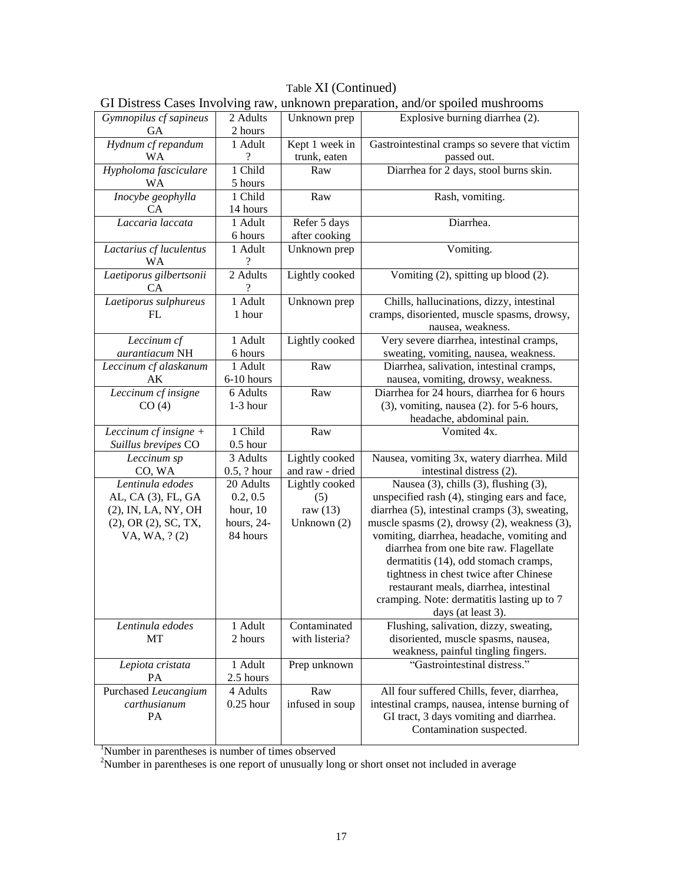# Table XI (Continued)

|                                      |                      |                                | OI DIStress Cases Involving raw, unknown preparation, and/or sponed mushrooms |
|--------------------------------------|----------------------|--------------------------------|-------------------------------------------------------------------------------|
| Gymnopilus cf sapineus<br>GA         | 2 Adults<br>2 hours  | Unknown prep                   | Explosive burning diarrhea (2).                                               |
| Hydnum cf repandum<br>WA             | 1 Adult<br>9         | Kept 1 week in<br>trunk, eaten | Gastrointestinal cramps so severe that victim<br>passed out.                  |
|                                      |                      |                                |                                                                               |
| Hypholoma fasciculare<br><b>WA</b>   | 1 Child<br>5 hours   | Raw                            | Diarrhea for 2 days, stool burns skin.                                        |
| Inocybe geophylla                    | 1 Child              | Raw                            | Rash, vomiting.                                                               |
| CА                                   | 14 hours             |                                |                                                                               |
| Laccaria laccata                     | 1 Adult              | Refer 5 days                   | Diarrhea.                                                                     |
|                                      | 6 hours              | after cooking                  |                                                                               |
| Lactarius cf luculentus              | 1 Adult              | Unknown prep                   | Vomiting.                                                                     |
| <b>WA</b>                            | $\gamma$             |                                |                                                                               |
| Laetiporus gilbertsonii<br><b>CA</b> | 2 Adults<br>$\gamma$ | Lightly cooked                 | Vomiting (2), spitting up blood (2).                                          |
| Laetiporus sulphureus                | 1 Adult              | Unknown prep                   | Chills, hallucinations, dizzy, intestinal                                     |
| FL                                   | 1 hour               |                                | cramps, disoriented, muscle spasms, drowsy,<br>nausea, weakness.              |
| Leccinum cf                          | 1 Adult              | Lightly cooked                 | Very severe diarrhea, intestinal cramps,                                      |
| aurantiacum NH                       | 6 hours              |                                | sweating, vomiting, nausea, weakness.                                         |
| Leccinum cf alaskanum                | 1 Adult              | Raw                            | Diarrhea, salivation, intestinal cramps,                                      |
| AK                                   | 6-10 hours           |                                | nausea, vomiting, drowsy, weakness.                                           |
| Leccinum cf insigne                  | 6 Adults             | Raw                            | Diarrhea for 24 hours, diarrhea for 6 hours                                   |
| CO(4)                                | $1-3$ hour           |                                | $(3)$ , vomiting, nausea $(2)$ . for 5-6 hours,                               |
|                                      |                      |                                | headache, abdominal pain.                                                     |
| Leccinum cf insigne +                | 1 Child              | Raw                            | Vomited 4x.                                                                   |
| Suillus brevipes CO                  | $0.5$ hour           |                                |                                                                               |
| Leccinum sp                          | 3 Adults             | Lightly cooked                 | Nausea, vomiting 3x, watery diarrhea. Mild                                    |
| CO, WA                               | $0.5$ , ? hour       | and raw - dried                | intestinal distress (2).                                                      |
| Lentinula edodes                     | 20 Adults            | Lightly cooked                 | Nausea (3), chills (3), flushing (3),                                         |
| AL, CA (3), FL, GA                   | 0.2, 0.5             | (5)                            | unspecified rash (4), stinging ears and face,                                 |
| (2), IN, LA, NY, OH                  | hour, $10$           | raw $(13)$                     | diarrhea (5), intestinal cramps (3), sweating,                                |
| $(2)$ , OR $(2)$ , SC, TX,           | hours, 24-           | Unknown (2)                    | muscle spasms $(2)$ , drowsy $(2)$ , weakness $(3)$ ,                         |
| VA, WA, ?(2)                         | 84 hours             |                                | vomiting, diarrhea, headache, vomiting and                                    |
|                                      |                      |                                | diarrhea from one bite raw. Flagellate                                        |
|                                      |                      |                                | dermatitis (14), odd stomach cramps,                                          |
|                                      |                      |                                | tightness in chest twice after Chinese                                        |
|                                      |                      |                                | restaurant meals, diarrhea, intestinal                                        |
|                                      |                      |                                |                                                                               |
|                                      |                      |                                | cramping. Note: dermatitis lasting up to 7                                    |
|                                      |                      |                                | days (at least 3).                                                            |
| Lentinula edodes                     | 1 Adult              | Contaminated                   | Flushing, salivation, dizzy, sweating,                                        |
| MT                                   | 2 hours              | with listeria?                 | disoriented, muscle spasms, nausea,                                           |
|                                      |                      |                                | weakness, painful tingling fingers.                                           |
| Lepiota cristata<br><b>PA</b>        | 1 Adult<br>2.5 hours | Prep unknown                   | "Gastrointestinal distress."                                                  |
| Purchased Leucangium                 | 4 Adults             | Raw                            | All four suffered Chills, fever, diarrhea,                                    |
| carthusianum                         | $0.25$ hour          | infused in soup                | intestinal cramps, nausea, intense burning of                                 |
| PA                                   |                      |                                | GI tract, 3 days vomiting and diarrhea.                                       |
|                                      |                      |                                | Contamination suspected.                                                      |
|                                      |                      |                                |                                                                               |

GI Distress Cases Involving raw, unknown preparation, and/or spoiled mushrooms

<sup>1</sup>Number in parentheses is number of times observed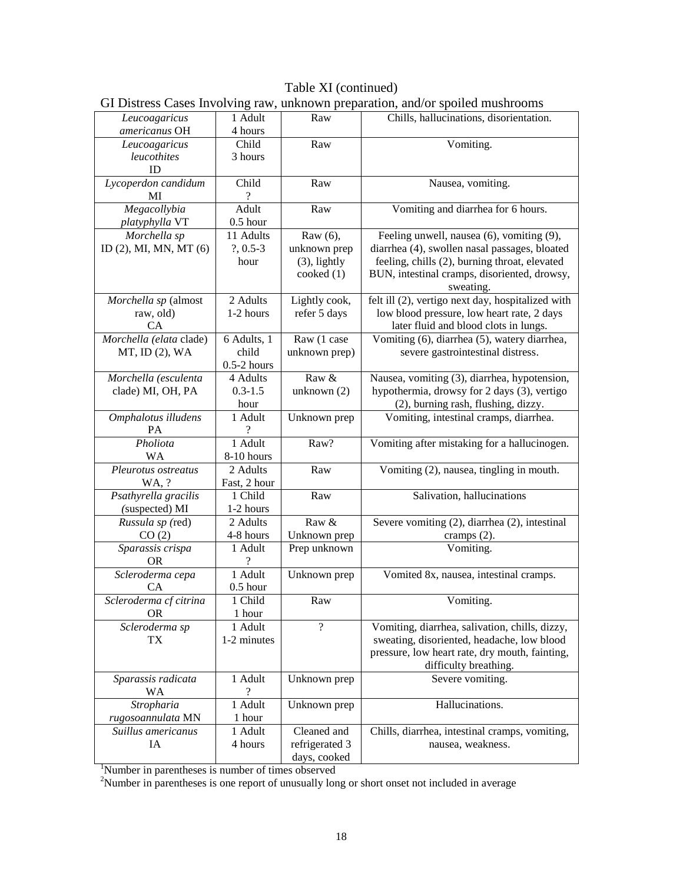#### Table XI (continued) GI Distress Cases Involving raw, unknown preparation, and/or spoiled mushrooms

|                                |               |                 | of Districts Cases Inverving run, unknown preparation, and or sponce musinoonis |
|--------------------------------|---------------|-----------------|---------------------------------------------------------------------------------|
| Leucoagaricus<br>americanus OH | 1 Adult       | Raw             | Chills, hallucinations, disorientation.                                         |
|                                | 4 hours       |                 |                                                                                 |
| Leucoagaricus                  | Child         | Raw             | Vomiting.                                                                       |
| leucothites                    | 3 hours       |                 |                                                                                 |
| ID                             |               |                 |                                                                                 |
| Lycoperdon candidum            | Child         | Raw             | Nausea, vomiting.                                                               |
| MI                             | ?             |                 |                                                                                 |
| Megacollybia                   | Adult         | Raw             | Vomiting and diarrhea for 6 hours.                                              |
| platyphylla VT                 | $0.5$ hour    |                 |                                                                                 |
| Morchella sp                   | 11 Adults     | Raw (6),        | Feeling unwell, nausea (6), vomiting (9),                                       |
| ID $(2)$ , MI, MN, MT $(6)$    | $?$ , 0.5-3   | unknown prep    | diarrhea (4), swollen nasal passages, bloated                                   |
|                                | hour          | $(3)$ , lightly | feeling, chills (2), burning throat, elevated                                   |
|                                |               | $\cosh(1)$      | BUN, intestinal cramps, disoriented, drowsy,                                    |
|                                |               |                 | sweating.                                                                       |
| Morchella sp (almost           | 2 Adults      | Lightly cook,   | felt ill (2), vertigo next day, hospitalized with                               |
| raw, old)                      | 1-2 hours     | refer 5 days    | low blood pressure, low heart rate, 2 days                                      |
| CA                             |               |                 | later fluid and blood clots in lungs.                                           |
| Morchella (elata clade)        | 6 Adults, 1   | Raw (1 case     | Vomiting (6), diarrhea (5), watery diarrhea,                                    |
| MT, ID (2), WA                 | child         | unknown prep)   | severe gastrointestinal distress.                                               |
|                                | $0.5-2$ hours |                 |                                                                                 |
| Morchella (esculenta           | 4 Adults      | Raw &           | Nausea, vomiting (3), diarrhea, hypotension,                                    |
| clade) MI, OH, PA              | $0.3 - 1.5$   | unknown $(2)$   | hypothermia, drowsy for 2 days (3), vertigo                                     |
|                                | hour          |                 | (2), burning rash, flushing, dizzy.                                             |
| Omphalotus illudens            | 1 Adult       | Unknown prep    | Vomiting, intestinal cramps, diarrhea.                                          |
| PA                             | ?             |                 |                                                                                 |
| Pholiota                       | 1 Adult       | Raw?            | Vomiting after mistaking for a hallucinogen.                                    |
| WA                             | 8-10 hours    |                 |                                                                                 |
| Pleurotus ostreatus            | 2 Adults      | Raw             | Vomiting (2), nausea, tingling in mouth.                                        |
| WA, ?                          | Fast, 2 hour  |                 |                                                                                 |
| Psathyrella gracilis           | 1 Child       | Raw             | Salivation, hallucinations                                                      |
| (suspected) MI                 | 1-2 hours     |                 |                                                                                 |
| Russula sp (red)               | 2 Adults      | Raw &           | Severe vomiting (2), diarrhea (2), intestinal                                   |
| CO(2)                          | 4-8 hours     | Unknown prep    | cramps $(2)$ .                                                                  |
| Sparassis crispa               | 1 Adult       | Prep unknown    | Vomiting.                                                                       |
| <b>OR</b>                      |               |                 |                                                                                 |
| Scleroderma cepa               | 1 Adult       | Unknown prep    | Vomited 8x, nausea, intestinal cramps.                                          |
| <b>CA</b>                      | $0.5$ hour    |                 |                                                                                 |
| Scleroderma cf citrina         | 1 Child       | Raw             | Vomiting.                                                                       |
| <b>OR</b>                      | 1 hour        |                 |                                                                                 |
| Scleroderma sp                 | 1 Adult       | $\gamma$        | Vomiting, diarrhea, salivation, chills, dizzy,                                  |
| TX                             | 1-2 minutes   |                 | sweating, disoriented, headache, low blood                                      |
|                                |               |                 | pressure, low heart rate, dry mouth, fainting,                                  |
|                                |               |                 | difficulty breathing.                                                           |
| Sparassis radicata             | 1 Adult       | Unknown prep    | Severe vomiting.                                                                |
| WA                             |               |                 |                                                                                 |
| Stropharia                     | 1 Adult       | Unknown prep    | Hallucinations.                                                                 |
| rugosoannulata MN              | 1 hour        |                 |                                                                                 |
| Suillus americanus             | 1 Adult       | Cleaned and     | Chills, diarrhea, intestinal cramps, vomiting,                                  |
| IA                             | 4 hours       | refrigerated 3  | nausea, weakness.                                                               |
|                                |               | days, cooked    |                                                                                 |
|                                |               |                 |                                                                                 |

<sup>1</sup>Number in parentheses is number of times observed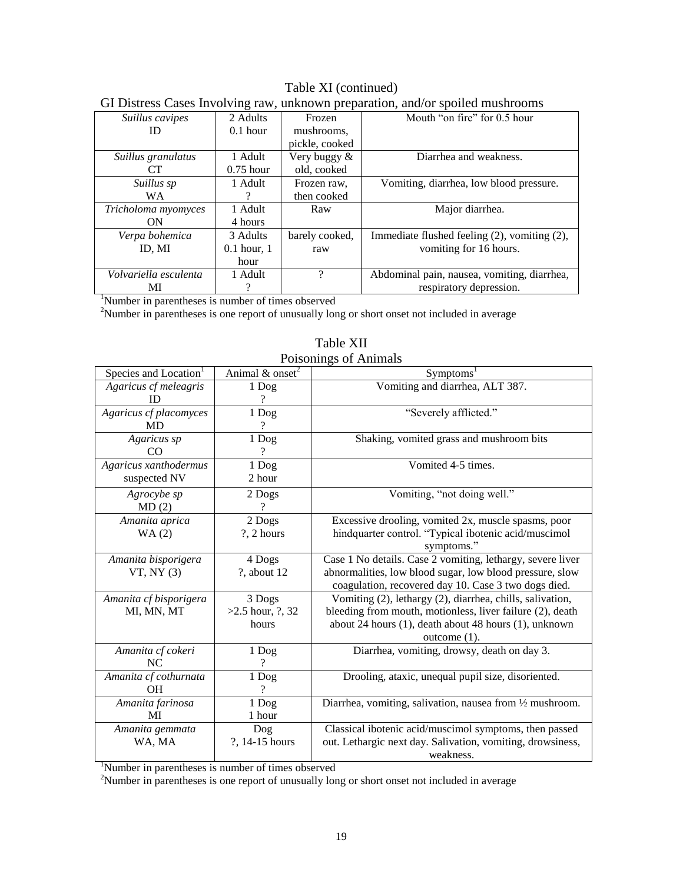| OI DISHUSS CASUS IIIVOIVING TAW, UNKNOWN PIUPALAHUN, ANG/OI SPONUG INGSINOONIS |               |                |                                              |  |
|--------------------------------------------------------------------------------|---------------|----------------|----------------------------------------------|--|
| Suillus cavipes                                                                | 2 Adults      | Frozen         | Mouth "on fire" for 0.5 hour                 |  |
| Ш                                                                              | $0.1$ hour    | mushrooms.     |                                              |  |
|                                                                                |               | pickle, cooked |                                              |  |
| Suillus granulatus                                                             | 1 Adult       | Very buggy &   | Diarrhea and weakness.                       |  |
| CT.                                                                            | $0.75$ hour   | old, cooked    |                                              |  |
| Suillus sp                                                                     | 1 Adult       | Frozen raw.    | Vomiting, diarrhea, low blood pressure.      |  |
| WA.                                                                            |               | then cooked    |                                              |  |
| Tricholoma myomyces                                                            | 1 Adult       | Raw            | Major diarrhea.                              |  |
| ON                                                                             | 4 hours       |                |                                              |  |
| Verpa bohemica                                                                 | 3 Adults      | barely cooked, | Immediate flushed feeling (2), vomiting (2), |  |
| ID. MI                                                                         | $0.1$ hour, 1 | raw            | vomiting for 16 hours.                       |  |
|                                                                                | hour          |                |                                              |  |
| Volvariella esculenta                                                          | 1 Adult       | ?              | Abdominal pain, nausea, vomiting, diarrhea,  |  |
| МI                                                                             |               |                | respiratory depression.                      |  |

#### Table XI (continued) GI Distress Cases Involving raw, unknown preparation, and/or spoiled mushrooms

<sup>1</sup>Number in parentheses is number of times observed

 $2$ Number in parentheses is one report of unusually long or short onset not included in average

| Species and Location <sup>1</sup> | Animal $&$ onset <sup>2</sup> | Symptoms <sup>1</sup>                                      |  |
|-----------------------------------|-------------------------------|------------------------------------------------------------|--|
| Agaricus cf meleagris             | 1 Dog                         | Vomiting and diarrhea, ALT 387.                            |  |
| ID                                |                               |                                                            |  |
| Agaricus cf placomyces            | 1 Dog                         | "Severely afflicted."                                      |  |
| <b>MD</b>                         | 9                             |                                                            |  |
| Agaricus sp                       | 1 Dog                         | Shaking, vomited grass and mushroom bits                   |  |
| CO                                |                               |                                                            |  |
| Agaricus xanthodermus             | 1 Dog                         | Vomited 4-5 times.                                         |  |
| suspected NV                      | 2 hour                        |                                                            |  |
| Agrocybe sp                       | 2 Dogs                        | Vomiting, "not doing well."                                |  |
| MD(2)                             |                               |                                                            |  |
| Amanita aprica                    | 2 Dogs                        | Excessive drooling, vomited 2x, muscle spasms, poor        |  |
| WA(2)                             | ?, 2 hours                    | hindquarter control. "Typical ibotenic acid/muscimol       |  |
|                                   |                               | symptoms."                                                 |  |
| Amanita bisporigera               | 4 Dogs                        | Case 1 No details. Case 2 vomiting, lethargy, severe liver |  |
| VT, NY(3)                         | ?, about 12                   | abnormalities, low blood sugar, low blood pressure, slow   |  |
|                                   |                               | coagulation, recovered day 10. Case 3 two dogs died.       |  |
| Amanita cf bisporigera            | 3 Dogs                        | Vomiting (2), lethargy (2), diarrhea, chills, salivation,  |  |
| MI, MN, MT                        | $>2.5$ hour, $?$ , 32         | bleeding from mouth, motionless, liver failure (2), death  |  |
|                                   | hours                         | about 24 hours (1), death about 48 hours (1), unknown      |  |
|                                   |                               | outcome $(1)$ .                                            |  |
| Amanita cf cokeri                 | 1 Dog                         | Diarrhea, vomiting, drowsy, death on day 3.                |  |
| NC                                | ?                             |                                                            |  |
| Amanita cf cothurnata             | 1 Dog                         | Drooling, ataxic, unequal pupil size, disoriented.         |  |
| <b>OH</b>                         | 9                             |                                                            |  |
| Amanita farinosa                  | 1 Dog                         | Diarrhea, vomiting, salivation, nausea from 1/2 mushroom.  |  |
| MI                                | 1 hour                        |                                                            |  |
| Amanita gemmata                   | Dog                           | Classical ibotenic acid/muscimol symptoms, then passed     |  |
| WA, MA                            | ?, 14-15 hours                | out. Lethargic next day. Salivation, vomiting, drowsiness, |  |
|                                   |                               | weakness.                                                  |  |

Table XII Poisonings of Animals

<sup>1</sup>Number in parentheses is number of times observed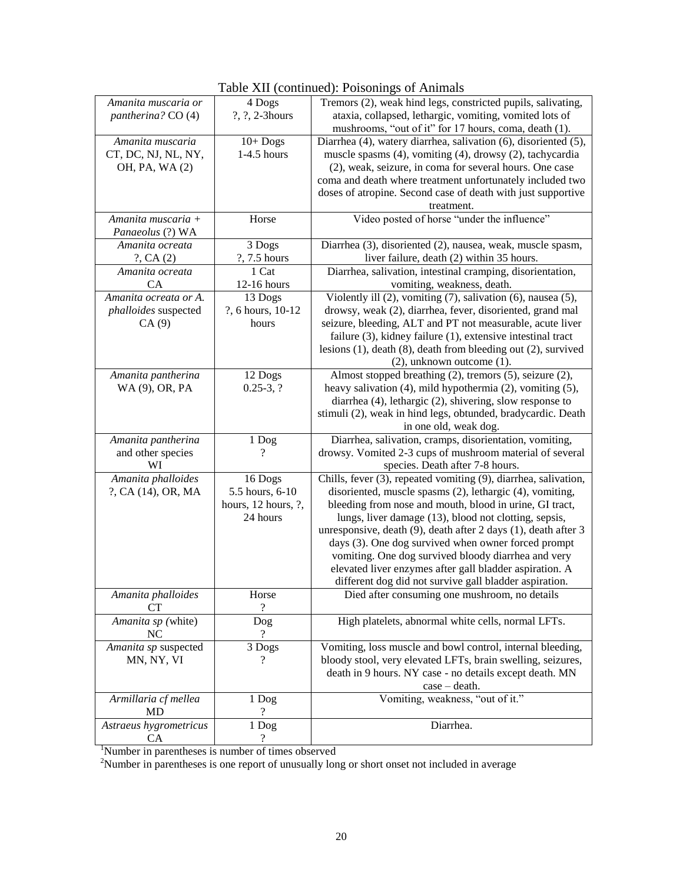|                              |                     | radic Art (continued). I orsonings of Aminiais                         |  |
|------------------------------|---------------------|------------------------------------------------------------------------|--|
| Amanita muscaria or          | 4 Dogs              | Tremors (2), weak hind legs, constricted pupils, salivating,           |  |
| pantherina? CO (4)           | ?, ?, 2-3hours      | ataxia, collapsed, lethargic, vomiting, vomited lots of                |  |
|                              |                     | mushrooms, "out of it" for 17 hours, coma, death (1).                  |  |
| Amanita muscaria             | $10+$ Dogs          | Diarrhea (4), watery diarrhea, salivation (6), disoriented (5),        |  |
|                              | $1-4.5$ hours       | muscle spasms (4), vomiting (4), drowsy (2), tachycardia               |  |
| CT, DC, NJ, NL, NY,          |                     |                                                                        |  |
| OH, PA, WA (2)               |                     | (2), weak, seizure, in coma for several hours. One case                |  |
|                              |                     | coma and death where treatment unfortunately included two              |  |
|                              |                     | doses of atropine. Second case of death with just supportive           |  |
|                              |                     | treatment.                                                             |  |
| Amanita muscaria +           | Horse               | Video posted of horse "under the influence"                            |  |
| Panaeolus (?) WA             |                     |                                                                        |  |
| Amanita ocreata              | 3 Dogs              | Diarrhea (3), disoriented (2), nausea, weak, muscle spasm,             |  |
| $?$ , CA $(2)$               | ?, 7.5 hours        | liver failure, death (2) within 35 hours.                              |  |
| Amanita ocreata              | 1 Cat               | Diarrhea, salivation, intestinal cramping, disorientation,             |  |
|                              |                     |                                                                        |  |
| CA                           | 12-16 hours         | vomiting, weakness, death.                                             |  |
| Amanita ocreata or A.        | 13 Dogs             | Violently ill (2), vomiting (7), salivation (6), nausea (5),           |  |
| phalloides suspected         | ?, 6 hours, 10-12   | drowsy, weak (2), diarrhea, fever, disoriented, grand mal              |  |
| CA(9)                        | hours               | seizure, bleeding, ALT and PT not measurable, acute liver              |  |
|                              |                     | failure $(3)$ , kidney failure $(1)$ , extensive intestinal tract      |  |
|                              |                     | lesions $(1)$ , death $(8)$ , death from bleeding out $(2)$ , survived |  |
|                              |                     | $(2)$ , unknown outcome $(1)$ .                                        |  |
| Amanita pantherina           | 12 Dogs             | Almost stopped breathing (2), tremors (5), seizure (2),                |  |
| WA (9), OR, PA               | $0.25-3, ?$         | heavy salivation (4), mild hypothermia (2), vomiting (5),              |  |
|                              |                     | diarrhea (4), lethargic (2), shivering, slow response to               |  |
|                              |                     | stimuli (2), weak in hind legs, obtunded, bradycardic. Death           |  |
|                              |                     |                                                                        |  |
|                              |                     | in one old, weak dog.                                                  |  |
| Amanita pantherina           | 1 Dog               | Diarrhea, salivation, cramps, disorientation, vomiting,                |  |
| and other species            | ?                   | drowsy. Vomited 2-3 cups of mushroom material of several               |  |
| WI                           |                     | species. Death after 7-8 hours.                                        |  |
|                              |                     |                                                                        |  |
| Amanita phalloides           | 16 Dogs             | Chills, fever (3), repeated vomiting (9), diarrhea, salivation,        |  |
| ?, CA (14), OR, MA           | 5.5 hours, 6-10     | disoriented, muscle spasms (2), lethargic (4), vomiting,               |  |
|                              |                     |                                                                        |  |
|                              | hours, 12 hours, ?, | bleeding from nose and mouth, blood in urine, GI tract,                |  |
|                              | 24 hours            | lungs, liver damage (13), blood not clotting, sepsis,                  |  |
|                              |                     | unresponsive, death (9), death after 2 days (1), death after 3         |  |
|                              |                     | days (3). One dog survived when owner forced prompt                    |  |
|                              |                     | vomiting. One dog survived bloody diarrhea and very                    |  |
|                              |                     | elevated liver enzymes after gall bladder aspiration. A                |  |
|                              |                     | different dog did not survive gall bladder aspiration.                 |  |
| Amanita phalloides           | Horse               | Died after consuming one mushroom, no details                          |  |
| CТ                           | ?                   |                                                                        |  |
| Amanita sp (white)           | Dog                 | High platelets, abnormal white cells, normal LFTs.                     |  |
| NC                           | ?                   |                                                                        |  |
|                              |                     |                                                                        |  |
| Amanita sp suspected         | 3 Dogs<br>?         | Vomiting, loss muscle and bowl control, internal bleeding,             |  |
| MN, NY, VI                   |                     | bloody stool, very elevated LFTs, brain swelling, seizures,            |  |
|                              |                     | death in 9 hours. NY case - no details except death. MN                |  |
|                              |                     | $case - death.$                                                        |  |
| Armillaria cf mellea         | 1 Dog               | Vomiting, weakness, "out of it."                                       |  |
| MD                           |                     |                                                                        |  |
| Astraeus hygrometricus<br>CA | 1 Dog<br>?          | Diarrhea.                                                              |  |

Table XII (continued): Poisonings of Animals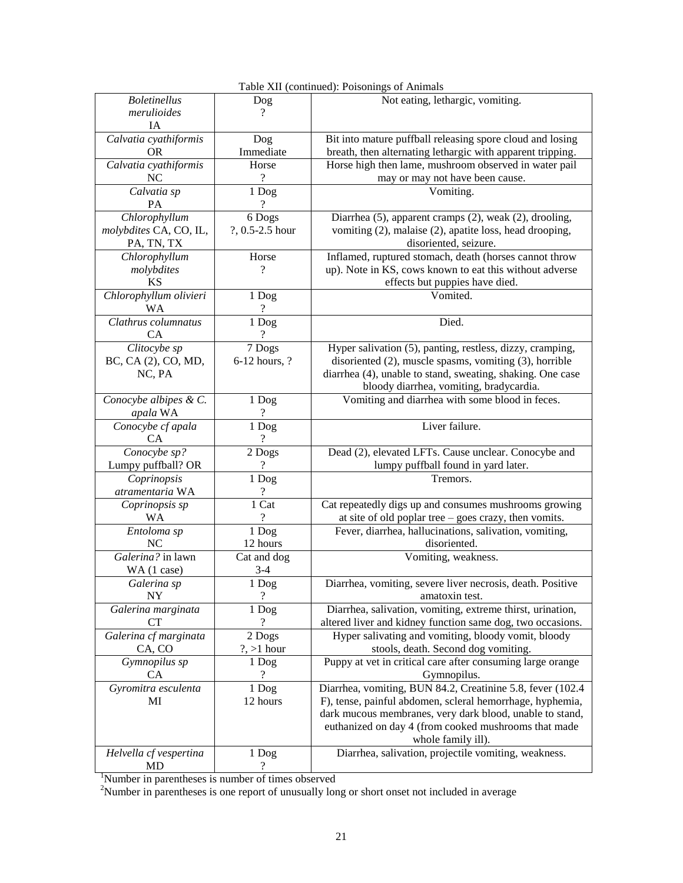| <b>Boletinellus</b>    | Dog              | Not eating, lethargic, vomiting.                                                                                      |  |
|------------------------|------------------|-----------------------------------------------------------------------------------------------------------------------|--|
| merulioides            | ?                |                                                                                                                       |  |
| ĪА                     |                  |                                                                                                                       |  |
| Calvatia cyathiformis  | Dog              | Bit into mature puffball releasing spore cloud and losing                                                             |  |
| <b>OR</b>              | Immediate        | breath, then alternating lethargic with apparent tripping.                                                            |  |
| Calvatia cyathiformis  | Horse            | Horse high then lame, mushroom observed in water pail                                                                 |  |
| NC                     | ?                | may or may not have been cause.                                                                                       |  |
| Calvatia sp            | 1 Dog            | Vomiting.                                                                                                             |  |
| PA                     | 9                |                                                                                                                       |  |
| Chlorophyllum          | 6 Dogs           | Diarrhea (5), apparent cramps (2), weak (2), drooling,                                                                |  |
| molybdites CA, CO, IL, | ?, 0.5-2.5 hour  | vomiting (2), malaise (2), apatite loss, head drooping,                                                               |  |
| PA, TN, TX             |                  | disoriented, seizure.                                                                                                 |  |
| Chlorophyllum          | Horse            | Inflamed, ruptured stomach, death (horses cannot throw                                                                |  |
| molybdites             | ?                | up). Note in KS, cows known to eat this without adverse                                                               |  |
| ΚS                     |                  | effects but puppies have died.                                                                                        |  |
| Chlorophyllum olivieri | 1 Dog            | Vomited.                                                                                                              |  |
| <b>WA</b>              | $\gamma$         |                                                                                                                       |  |
| Clathrus columnatus    | 1 Dog            | Died.                                                                                                                 |  |
| <b>CA</b>              | ?                |                                                                                                                       |  |
| Clitocybe sp           | 7 Dogs           | Hyper salivation (5), panting, restless, dizzy, cramping,                                                             |  |
| BC, CA (2), CO, MD,    | 6-12 hours, ?    | disoriented $(2)$ , muscle spasms, vomiting $(3)$ , horrible                                                          |  |
| NC, PA                 |                  | diarrhea (4), unable to stand, sweating, shaking. One case                                                            |  |
|                        |                  | bloody diarrhea, vomiting, bradycardia.                                                                               |  |
| Conocybe albipes & C.  | 1 Dog            | Vomiting and diarrhea with some blood in feces.                                                                       |  |
| apala WA               | ?                |                                                                                                                       |  |
| Conocybe cf apala      | 1 Dog            | Liver failure.                                                                                                        |  |
| СA                     | $\gamma$         |                                                                                                                       |  |
| Conocybe sp?           | 2 Dogs           | Dead (2), elevated LFTs. Cause unclear. Conocybe and                                                                  |  |
| Lumpy puffball? OR     | ?                | lumpy puffball found in yard later.                                                                                   |  |
| Coprinopsis            | 1 Dog            | Tremors.                                                                                                              |  |
| atramentaria WA        | ?                |                                                                                                                       |  |
| Coprinopsis sp         | 1 Cat            | Cat repeatedly digs up and consumes mushrooms growing                                                                 |  |
| WA                     | 9                | at site of old poplar tree - goes crazy, then vomits.                                                                 |  |
| Entoloma sp            | 1 Dog            | Fever, diarrhea, hallucinations, salivation, vomiting,                                                                |  |
| NС                     | 12 hours         | disoriented.                                                                                                          |  |
| Galerina? in lawn      | Cat and dog      | Vomiting, weakness.                                                                                                   |  |
| WA (1 case)            | $3-4$            |                                                                                                                       |  |
| Galerina sp            | 1 Dog            | Diarrhea, vomiting, severe liver necrosis, death. Positive                                                            |  |
| NY                     | $\boldsymbol{?}$ | amatoxin test.                                                                                                        |  |
| Galerina marginata     | 1 Dog            | Diarrhea, salivation, vomiting, extreme thirst, urination,                                                            |  |
| CT                     | $\overline{?}$   | altered liver and kidney function same dog, two occasions.                                                            |  |
| Galerina cf marginata  | 2 Dogs           | Hyper salivating and vomiting, bloody vomit, bloody                                                                   |  |
| CA, CO                 | $?$ , >1 hour    | stools, death. Second dog vomiting.                                                                                   |  |
| Gymnopilus sp          | 1 Dog            | Puppy at vet in critical care after consuming large orange                                                            |  |
| СA                     | ?                |                                                                                                                       |  |
| Gyromitra esculenta    | 1 Dog            | Gymnopilus.<br>Diarrhea, vomiting, BUN 84.2, Creatinine 5.8, fever (102.4                                             |  |
| MI                     | 12 hours         |                                                                                                                       |  |
|                        |                  | F), tense, painful abdomen, scleral hemorrhage, hyphemia,<br>dark mucous membranes, very dark blood, unable to stand, |  |
|                        |                  | euthanized on day 4 (from cooked mushrooms that made                                                                  |  |
|                        |                  | whole family ill).                                                                                                    |  |
| Helvella cf vespertina | 1 Dog            | Diarrhea, salivation, projectile vomiting, weakness.                                                                  |  |
| MD                     | ?                |                                                                                                                       |  |

| Table XII (continued): Poisonings of Animals |
|----------------------------------------------|
|----------------------------------------------|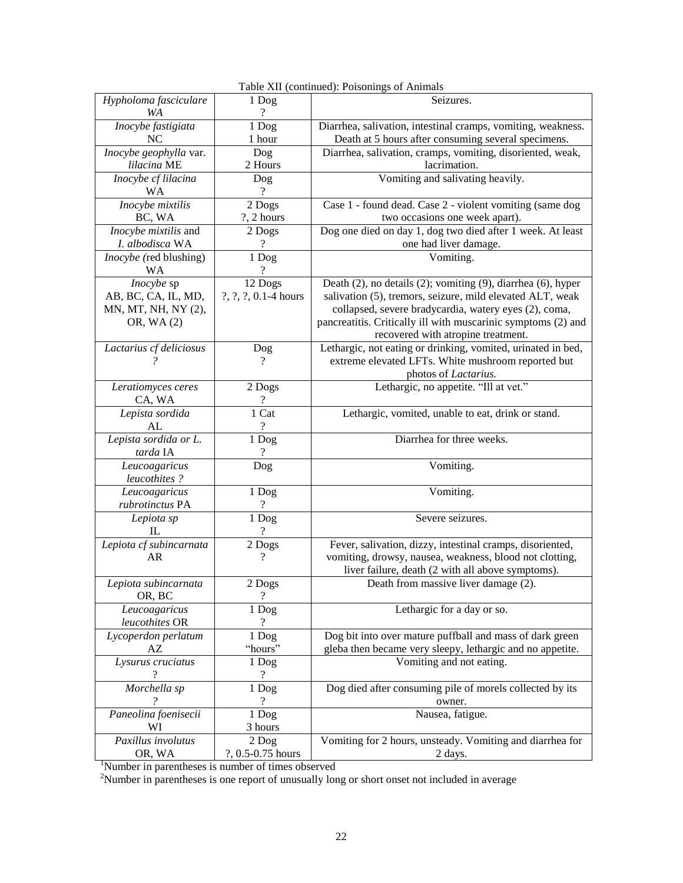| Hypholoma fasciculare<br>Seizures.<br>1 Dog<br>9<br><b>WA</b><br>Inocybe fastigiata<br>1 Dog<br>Diarrhea, salivation, intestinal cramps, vomiting, weakness.<br>Death at 5 hours after consuming several specimens.<br>NC<br>1 hour<br>Diarrhea, salivation, cramps, vomiting, disoriented, weak,<br>Inocybe geophylla var.<br>Dog<br>lilacina ME<br>lacrimation.<br>2 Hours<br>Vomiting and salivating heavily.<br>Inocybe cf lilacina<br>Dog<br>WA<br>9<br>Inocybe mixtilis<br>2 Dogs<br>Case 1 - found dead. Case 2 - violent vomiting (same dog<br>BC, WA<br>?, 2 hours<br>two occasions one week apart).<br>Dog one died on day 1, dog two died after 1 week. At least<br>Inocybe mixtilis and<br>2 Dogs<br>one had liver damage.<br>I. albodisca WA<br>Vomiting.<br><i>Inocybe</i> (red blushing)<br>1 Dog<br>WA<br>Inocybe sp<br>12 Dogs<br>Death (2), no details (2); vomiting (9), diarrhea (6), hyper<br>AB, BC, CA, IL, MD,<br>?, ?, ?, 0.1-4 hours<br>salivation (5), tremors, seizure, mild elevated ALT, weak<br>collapsed, severe bradycardia, watery eyes (2), coma,<br>MN, MT, NH, NY (2),<br>pancreatitis. Critically ill with muscarinic symptoms (2) and<br>OR, WA (2)<br>recovered with atropine treatment.<br>Lethargic, not eating or drinking, vomited, urinated in bed,<br>Lactarius cf deliciosus<br>Dog<br>extreme elevated LFTs. White mushroom reported but<br>?<br>photos of Lactarius.<br>Lethargic, no appetite. "Ill at vet."<br>2 Dogs<br>Leratiomyces ceres<br>CA, WA<br>?<br>1 Cat<br>Lethargic, vomited, unable to eat, drink or stand.<br>Lepista sordida<br>?<br>AL<br>Lepista sordida or L.<br>Diarrhea for three weeks.<br>1 Dog<br>tarda IA<br>?<br>Vomiting.<br>Leucoagaricus<br>Dog<br>leucothites?<br>Leucoagaricus<br>1 Dog<br>Vomiting.<br>rubrotinctus PA<br>?<br>Severe seizures.<br>1 Dog<br>Lepiota sp<br>9<br>IL<br>Fever, salivation, dizzy, intestinal cramps, disoriented,<br>Lepiota cf subincarnata<br>2 Dogs<br>AR<br>$\overline{\mathcal{L}}$<br>vomiting, drowsy, nausea, weakness, blood not clotting,<br>liver failure, death (2 with all above symptoms).<br>Death from massive liver damage $(2)$ .<br>Lepiota subincarnata<br>2 Dogs<br>$\overline{?}$<br>OR, BC<br>Lethargic for a day or so.<br>Leucoagaricus<br>1 Dog<br>leucothites OR<br>$\overline{?}$<br>Dog bit into over mature puffball and mass of dark green<br>Lycoperdon perlatum<br>1 Dog<br>"hours"<br>gleba then became very sleepy, lethargic and no appetite.<br>$\mathbf{A}\mathbf{Z}$<br>1 Dog<br>Vomiting and not eating.<br>Lysurus cruciatus<br>$\overline{\mathcal{L}}$<br>Morchella sp<br>Dog died after consuming pile of morels collected by its<br>1 Dog<br>?<br>2<br>owner.<br>Paneolina foenisecii<br>1 Dog<br>Nausea, fatigue.<br>3 hours<br>WI<br>Paxillus involutus<br>Vomiting for 2 hours, unsteady. Vomiting and diarrhea for<br>$2$ Dog |        |                   | $1000$ and $(0.0000)$ . The condition of Tammars |  |
|------------------------------------------------------------------------------------------------------------------------------------------------------------------------------------------------------------------------------------------------------------------------------------------------------------------------------------------------------------------------------------------------------------------------------------------------------------------------------------------------------------------------------------------------------------------------------------------------------------------------------------------------------------------------------------------------------------------------------------------------------------------------------------------------------------------------------------------------------------------------------------------------------------------------------------------------------------------------------------------------------------------------------------------------------------------------------------------------------------------------------------------------------------------------------------------------------------------------------------------------------------------------------------------------------------------------------------------------------------------------------------------------------------------------------------------------------------------------------------------------------------------------------------------------------------------------------------------------------------------------------------------------------------------------------------------------------------------------------------------------------------------------------------------------------------------------------------------------------------------------------------------------------------------------------------------------------------------------------------------------------------------------------------------------------------------------------------------------------------------------------------------------------------------------------------------------------------------------------------------------------------------------------------------------------------------------------------------------------------------------------------------------------------------------------------------------------------------------------------------------------------------------------------------------------------------------------------------------------------------------------------------------------------------------------------------------------------------------------------------------------------------------------------------------------------------------------------------------------------------------------------------------|--------|-------------------|--------------------------------------------------|--|
|                                                                                                                                                                                                                                                                                                                                                                                                                                                                                                                                                                                                                                                                                                                                                                                                                                                                                                                                                                                                                                                                                                                                                                                                                                                                                                                                                                                                                                                                                                                                                                                                                                                                                                                                                                                                                                                                                                                                                                                                                                                                                                                                                                                                                                                                                                                                                                                                                                                                                                                                                                                                                                                                                                                                                                                                                                                                                                |        |                   |                                                  |  |
|                                                                                                                                                                                                                                                                                                                                                                                                                                                                                                                                                                                                                                                                                                                                                                                                                                                                                                                                                                                                                                                                                                                                                                                                                                                                                                                                                                                                                                                                                                                                                                                                                                                                                                                                                                                                                                                                                                                                                                                                                                                                                                                                                                                                                                                                                                                                                                                                                                                                                                                                                                                                                                                                                                                                                                                                                                                                                                |        |                   |                                                  |  |
|                                                                                                                                                                                                                                                                                                                                                                                                                                                                                                                                                                                                                                                                                                                                                                                                                                                                                                                                                                                                                                                                                                                                                                                                                                                                                                                                                                                                                                                                                                                                                                                                                                                                                                                                                                                                                                                                                                                                                                                                                                                                                                                                                                                                                                                                                                                                                                                                                                                                                                                                                                                                                                                                                                                                                                                                                                                                                                |        |                   |                                                  |  |
|                                                                                                                                                                                                                                                                                                                                                                                                                                                                                                                                                                                                                                                                                                                                                                                                                                                                                                                                                                                                                                                                                                                                                                                                                                                                                                                                                                                                                                                                                                                                                                                                                                                                                                                                                                                                                                                                                                                                                                                                                                                                                                                                                                                                                                                                                                                                                                                                                                                                                                                                                                                                                                                                                                                                                                                                                                                                                                |        |                   |                                                  |  |
|                                                                                                                                                                                                                                                                                                                                                                                                                                                                                                                                                                                                                                                                                                                                                                                                                                                                                                                                                                                                                                                                                                                                                                                                                                                                                                                                                                                                                                                                                                                                                                                                                                                                                                                                                                                                                                                                                                                                                                                                                                                                                                                                                                                                                                                                                                                                                                                                                                                                                                                                                                                                                                                                                                                                                                                                                                                                                                |        |                   |                                                  |  |
|                                                                                                                                                                                                                                                                                                                                                                                                                                                                                                                                                                                                                                                                                                                                                                                                                                                                                                                                                                                                                                                                                                                                                                                                                                                                                                                                                                                                                                                                                                                                                                                                                                                                                                                                                                                                                                                                                                                                                                                                                                                                                                                                                                                                                                                                                                                                                                                                                                                                                                                                                                                                                                                                                                                                                                                                                                                                                                |        |                   |                                                  |  |
|                                                                                                                                                                                                                                                                                                                                                                                                                                                                                                                                                                                                                                                                                                                                                                                                                                                                                                                                                                                                                                                                                                                                                                                                                                                                                                                                                                                                                                                                                                                                                                                                                                                                                                                                                                                                                                                                                                                                                                                                                                                                                                                                                                                                                                                                                                                                                                                                                                                                                                                                                                                                                                                                                                                                                                                                                                                                                                |        |                   |                                                  |  |
|                                                                                                                                                                                                                                                                                                                                                                                                                                                                                                                                                                                                                                                                                                                                                                                                                                                                                                                                                                                                                                                                                                                                                                                                                                                                                                                                                                                                                                                                                                                                                                                                                                                                                                                                                                                                                                                                                                                                                                                                                                                                                                                                                                                                                                                                                                                                                                                                                                                                                                                                                                                                                                                                                                                                                                                                                                                                                                |        |                   |                                                  |  |
|                                                                                                                                                                                                                                                                                                                                                                                                                                                                                                                                                                                                                                                                                                                                                                                                                                                                                                                                                                                                                                                                                                                                                                                                                                                                                                                                                                                                                                                                                                                                                                                                                                                                                                                                                                                                                                                                                                                                                                                                                                                                                                                                                                                                                                                                                                                                                                                                                                                                                                                                                                                                                                                                                                                                                                                                                                                                                                |        |                   |                                                  |  |
|                                                                                                                                                                                                                                                                                                                                                                                                                                                                                                                                                                                                                                                                                                                                                                                                                                                                                                                                                                                                                                                                                                                                                                                                                                                                                                                                                                                                                                                                                                                                                                                                                                                                                                                                                                                                                                                                                                                                                                                                                                                                                                                                                                                                                                                                                                                                                                                                                                                                                                                                                                                                                                                                                                                                                                                                                                                                                                |        |                   |                                                  |  |
|                                                                                                                                                                                                                                                                                                                                                                                                                                                                                                                                                                                                                                                                                                                                                                                                                                                                                                                                                                                                                                                                                                                                                                                                                                                                                                                                                                                                                                                                                                                                                                                                                                                                                                                                                                                                                                                                                                                                                                                                                                                                                                                                                                                                                                                                                                                                                                                                                                                                                                                                                                                                                                                                                                                                                                                                                                                                                                |        |                   |                                                  |  |
|                                                                                                                                                                                                                                                                                                                                                                                                                                                                                                                                                                                                                                                                                                                                                                                                                                                                                                                                                                                                                                                                                                                                                                                                                                                                                                                                                                                                                                                                                                                                                                                                                                                                                                                                                                                                                                                                                                                                                                                                                                                                                                                                                                                                                                                                                                                                                                                                                                                                                                                                                                                                                                                                                                                                                                                                                                                                                                |        |                   |                                                  |  |
|                                                                                                                                                                                                                                                                                                                                                                                                                                                                                                                                                                                                                                                                                                                                                                                                                                                                                                                                                                                                                                                                                                                                                                                                                                                                                                                                                                                                                                                                                                                                                                                                                                                                                                                                                                                                                                                                                                                                                                                                                                                                                                                                                                                                                                                                                                                                                                                                                                                                                                                                                                                                                                                                                                                                                                                                                                                                                                |        |                   |                                                  |  |
|                                                                                                                                                                                                                                                                                                                                                                                                                                                                                                                                                                                                                                                                                                                                                                                                                                                                                                                                                                                                                                                                                                                                                                                                                                                                                                                                                                                                                                                                                                                                                                                                                                                                                                                                                                                                                                                                                                                                                                                                                                                                                                                                                                                                                                                                                                                                                                                                                                                                                                                                                                                                                                                                                                                                                                                                                                                                                                |        |                   |                                                  |  |
|                                                                                                                                                                                                                                                                                                                                                                                                                                                                                                                                                                                                                                                                                                                                                                                                                                                                                                                                                                                                                                                                                                                                                                                                                                                                                                                                                                                                                                                                                                                                                                                                                                                                                                                                                                                                                                                                                                                                                                                                                                                                                                                                                                                                                                                                                                                                                                                                                                                                                                                                                                                                                                                                                                                                                                                                                                                                                                |        |                   |                                                  |  |
|                                                                                                                                                                                                                                                                                                                                                                                                                                                                                                                                                                                                                                                                                                                                                                                                                                                                                                                                                                                                                                                                                                                                                                                                                                                                                                                                                                                                                                                                                                                                                                                                                                                                                                                                                                                                                                                                                                                                                                                                                                                                                                                                                                                                                                                                                                                                                                                                                                                                                                                                                                                                                                                                                                                                                                                                                                                                                                |        |                   |                                                  |  |
|                                                                                                                                                                                                                                                                                                                                                                                                                                                                                                                                                                                                                                                                                                                                                                                                                                                                                                                                                                                                                                                                                                                                                                                                                                                                                                                                                                                                                                                                                                                                                                                                                                                                                                                                                                                                                                                                                                                                                                                                                                                                                                                                                                                                                                                                                                                                                                                                                                                                                                                                                                                                                                                                                                                                                                                                                                                                                                |        |                   |                                                  |  |
|                                                                                                                                                                                                                                                                                                                                                                                                                                                                                                                                                                                                                                                                                                                                                                                                                                                                                                                                                                                                                                                                                                                                                                                                                                                                                                                                                                                                                                                                                                                                                                                                                                                                                                                                                                                                                                                                                                                                                                                                                                                                                                                                                                                                                                                                                                                                                                                                                                                                                                                                                                                                                                                                                                                                                                                                                                                                                                |        |                   |                                                  |  |
|                                                                                                                                                                                                                                                                                                                                                                                                                                                                                                                                                                                                                                                                                                                                                                                                                                                                                                                                                                                                                                                                                                                                                                                                                                                                                                                                                                                                                                                                                                                                                                                                                                                                                                                                                                                                                                                                                                                                                                                                                                                                                                                                                                                                                                                                                                                                                                                                                                                                                                                                                                                                                                                                                                                                                                                                                                                                                                |        |                   |                                                  |  |
|                                                                                                                                                                                                                                                                                                                                                                                                                                                                                                                                                                                                                                                                                                                                                                                                                                                                                                                                                                                                                                                                                                                                                                                                                                                                                                                                                                                                                                                                                                                                                                                                                                                                                                                                                                                                                                                                                                                                                                                                                                                                                                                                                                                                                                                                                                                                                                                                                                                                                                                                                                                                                                                                                                                                                                                                                                                                                                |        |                   |                                                  |  |
|                                                                                                                                                                                                                                                                                                                                                                                                                                                                                                                                                                                                                                                                                                                                                                                                                                                                                                                                                                                                                                                                                                                                                                                                                                                                                                                                                                                                                                                                                                                                                                                                                                                                                                                                                                                                                                                                                                                                                                                                                                                                                                                                                                                                                                                                                                                                                                                                                                                                                                                                                                                                                                                                                                                                                                                                                                                                                                |        |                   |                                                  |  |
|                                                                                                                                                                                                                                                                                                                                                                                                                                                                                                                                                                                                                                                                                                                                                                                                                                                                                                                                                                                                                                                                                                                                                                                                                                                                                                                                                                                                                                                                                                                                                                                                                                                                                                                                                                                                                                                                                                                                                                                                                                                                                                                                                                                                                                                                                                                                                                                                                                                                                                                                                                                                                                                                                                                                                                                                                                                                                                |        |                   |                                                  |  |
|                                                                                                                                                                                                                                                                                                                                                                                                                                                                                                                                                                                                                                                                                                                                                                                                                                                                                                                                                                                                                                                                                                                                                                                                                                                                                                                                                                                                                                                                                                                                                                                                                                                                                                                                                                                                                                                                                                                                                                                                                                                                                                                                                                                                                                                                                                                                                                                                                                                                                                                                                                                                                                                                                                                                                                                                                                                                                                |        |                   |                                                  |  |
|                                                                                                                                                                                                                                                                                                                                                                                                                                                                                                                                                                                                                                                                                                                                                                                                                                                                                                                                                                                                                                                                                                                                                                                                                                                                                                                                                                                                                                                                                                                                                                                                                                                                                                                                                                                                                                                                                                                                                                                                                                                                                                                                                                                                                                                                                                                                                                                                                                                                                                                                                                                                                                                                                                                                                                                                                                                                                                |        |                   |                                                  |  |
|                                                                                                                                                                                                                                                                                                                                                                                                                                                                                                                                                                                                                                                                                                                                                                                                                                                                                                                                                                                                                                                                                                                                                                                                                                                                                                                                                                                                                                                                                                                                                                                                                                                                                                                                                                                                                                                                                                                                                                                                                                                                                                                                                                                                                                                                                                                                                                                                                                                                                                                                                                                                                                                                                                                                                                                                                                                                                                |        |                   |                                                  |  |
|                                                                                                                                                                                                                                                                                                                                                                                                                                                                                                                                                                                                                                                                                                                                                                                                                                                                                                                                                                                                                                                                                                                                                                                                                                                                                                                                                                                                                                                                                                                                                                                                                                                                                                                                                                                                                                                                                                                                                                                                                                                                                                                                                                                                                                                                                                                                                                                                                                                                                                                                                                                                                                                                                                                                                                                                                                                                                                |        |                   |                                                  |  |
|                                                                                                                                                                                                                                                                                                                                                                                                                                                                                                                                                                                                                                                                                                                                                                                                                                                                                                                                                                                                                                                                                                                                                                                                                                                                                                                                                                                                                                                                                                                                                                                                                                                                                                                                                                                                                                                                                                                                                                                                                                                                                                                                                                                                                                                                                                                                                                                                                                                                                                                                                                                                                                                                                                                                                                                                                                                                                                |        |                   |                                                  |  |
|                                                                                                                                                                                                                                                                                                                                                                                                                                                                                                                                                                                                                                                                                                                                                                                                                                                                                                                                                                                                                                                                                                                                                                                                                                                                                                                                                                                                                                                                                                                                                                                                                                                                                                                                                                                                                                                                                                                                                                                                                                                                                                                                                                                                                                                                                                                                                                                                                                                                                                                                                                                                                                                                                                                                                                                                                                                                                                |        |                   |                                                  |  |
|                                                                                                                                                                                                                                                                                                                                                                                                                                                                                                                                                                                                                                                                                                                                                                                                                                                                                                                                                                                                                                                                                                                                                                                                                                                                                                                                                                                                                                                                                                                                                                                                                                                                                                                                                                                                                                                                                                                                                                                                                                                                                                                                                                                                                                                                                                                                                                                                                                                                                                                                                                                                                                                                                                                                                                                                                                                                                                |        |                   |                                                  |  |
|                                                                                                                                                                                                                                                                                                                                                                                                                                                                                                                                                                                                                                                                                                                                                                                                                                                                                                                                                                                                                                                                                                                                                                                                                                                                                                                                                                                                                                                                                                                                                                                                                                                                                                                                                                                                                                                                                                                                                                                                                                                                                                                                                                                                                                                                                                                                                                                                                                                                                                                                                                                                                                                                                                                                                                                                                                                                                                |        |                   |                                                  |  |
|                                                                                                                                                                                                                                                                                                                                                                                                                                                                                                                                                                                                                                                                                                                                                                                                                                                                                                                                                                                                                                                                                                                                                                                                                                                                                                                                                                                                                                                                                                                                                                                                                                                                                                                                                                                                                                                                                                                                                                                                                                                                                                                                                                                                                                                                                                                                                                                                                                                                                                                                                                                                                                                                                                                                                                                                                                                                                                |        |                   |                                                  |  |
|                                                                                                                                                                                                                                                                                                                                                                                                                                                                                                                                                                                                                                                                                                                                                                                                                                                                                                                                                                                                                                                                                                                                                                                                                                                                                                                                                                                                                                                                                                                                                                                                                                                                                                                                                                                                                                                                                                                                                                                                                                                                                                                                                                                                                                                                                                                                                                                                                                                                                                                                                                                                                                                                                                                                                                                                                                                                                                |        |                   |                                                  |  |
|                                                                                                                                                                                                                                                                                                                                                                                                                                                                                                                                                                                                                                                                                                                                                                                                                                                                                                                                                                                                                                                                                                                                                                                                                                                                                                                                                                                                                                                                                                                                                                                                                                                                                                                                                                                                                                                                                                                                                                                                                                                                                                                                                                                                                                                                                                                                                                                                                                                                                                                                                                                                                                                                                                                                                                                                                                                                                                |        |                   |                                                  |  |
|                                                                                                                                                                                                                                                                                                                                                                                                                                                                                                                                                                                                                                                                                                                                                                                                                                                                                                                                                                                                                                                                                                                                                                                                                                                                                                                                                                                                                                                                                                                                                                                                                                                                                                                                                                                                                                                                                                                                                                                                                                                                                                                                                                                                                                                                                                                                                                                                                                                                                                                                                                                                                                                                                                                                                                                                                                                                                                |        |                   |                                                  |  |
|                                                                                                                                                                                                                                                                                                                                                                                                                                                                                                                                                                                                                                                                                                                                                                                                                                                                                                                                                                                                                                                                                                                                                                                                                                                                                                                                                                                                                                                                                                                                                                                                                                                                                                                                                                                                                                                                                                                                                                                                                                                                                                                                                                                                                                                                                                                                                                                                                                                                                                                                                                                                                                                                                                                                                                                                                                                                                                |        |                   |                                                  |  |
|                                                                                                                                                                                                                                                                                                                                                                                                                                                                                                                                                                                                                                                                                                                                                                                                                                                                                                                                                                                                                                                                                                                                                                                                                                                                                                                                                                                                                                                                                                                                                                                                                                                                                                                                                                                                                                                                                                                                                                                                                                                                                                                                                                                                                                                                                                                                                                                                                                                                                                                                                                                                                                                                                                                                                                                                                                                                                                |        |                   |                                                  |  |
|                                                                                                                                                                                                                                                                                                                                                                                                                                                                                                                                                                                                                                                                                                                                                                                                                                                                                                                                                                                                                                                                                                                                                                                                                                                                                                                                                                                                                                                                                                                                                                                                                                                                                                                                                                                                                                                                                                                                                                                                                                                                                                                                                                                                                                                                                                                                                                                                                                                                                                                                                                                                                                                                                                                                                                                                                                                                                                |        |                   |                                                  |  |
|                                                                                                                                                                                                                                                                                                                                                                                                                                                                                                                                                                                                                                                                                                                                                                                                                                                                                                                                                                                                                                                                                                                                                                                                                                                                                                                                                                                                                                                                                                                                                                                                                                                                                                                                                                                                                                                                                                                                                                                                                                                                                                                                                                                                                                                                                                                                                                                                                                                                                                                                                                                                                                                                                                                                                                                                                                                                                                |        |                   |                                                  |  |
|                                                                                                                                                                                                                                                                                                                                                                                                                                                                                                                                                                                                                                                                                                                                                                                                                                                                                                                                                                                                                                                                                                                                                                                                                                                                                                                                                                                                                                                                                                                                                                                                                                                                                                                                                                                                                                                                                                                                                                                                                                                                                                                                                                                                                                                                                                                                                                                                                                                                                                                                                                                                                                                                                                                                                                                                                                                                                                |        |                   |                                                  |  |
|                                                                                                                                                                                                                                                                                                                                                                                                                                                                                                                                                                                                                                                                                                                                                                                                                                                                                                                                                                                                                                                                                                                                                                                                                                                                                                                                                                                                                                                                                                                                                                                                                                                                                                                                                                                                                                                                                                                                                                                                                                                                                                                                                                                                                                                                                                                                                                                                                                                                                                                                                                                                                                                                                                                                                                                                                                                                                                |        |                   |                                                  |  |
|                                                                                                                                                                                                                                                                                                                                                                                                                                                                                                                                                                                                                                                                                                                                                                                                                                                                                                                                                                                                                                                                                                                                                                                                                                                                                                                                                                                                                                                                                                                                                                                                                                                                                                                                                                                                                                                                                                                                                                                                                                                                                                                                                                                                                                                                                                                                                                                                                                                                                                                                                                                                                                                                                                                                                                                                                                                                                                |        |                   |                                                  |  |
|                                                                                                                                                                                                                                                                                                                                                                                                                                                                                                                                                                                                                                                                                                                                                                                                                                                                                                                                                                                                                                                                                                                                                                                                                                                                                                                                                                                                                                                                                                                                                                                                                                                                                                                                                                                                                                                                                                                                                                                                                                                                                                                                                                                                                                                                                                                                                                                                                                                                                                                                                                                                                                                                                                                                                                                                                                                                                                |        |                   |                                                  |  |
|                                                                                                                                                                                                                                                                                                                                                                                                                                                                                                                                                                                                                                                                                                                                                                                                                                                                                                                                                                                                                                                                                                                                                                                                                                                                                                                                                                                                                                                                                                                                                                                                                                                                                                                                                                                                                                                                                                                                                                                                                                                                                                                                                                                                                                                                                                                                                                                                                                                                                                                                                                                                                                                                                                                                                                                                                                                                                                |        |                   |                                                  |  |
|                                                                                                                                                                                                                                                                                                                                                                                                                                                                                                                                                                                                                                                                                                                                                                                                                                                                                                                                                                                                                                                                                                                                                                                                                                                                                                                                                                                                                                                                                                                                                                                                                                                                                                                                                                                                                                                                                                                                                                                                                                                                                                                                                                                                                                                                                                                                                                                                                                                                                                                                                                                                                                                                                                                                                                                                                                                                                                |        |                   |                                                  |  |
|                                                                                                                                                                                                                                                                                                                                                                                                                                                                                                                                                                                                                                                                                                                                                                                                                                                                                                                                                                                                                                                                                                                                                                                                                                                                                                                                                                                                                                                                                                                                                                                                                                                                                                                                                                                                                                                                                                                                                                                                                                                                                                                                                                                                                                                                                                                                                                                                                                                                                                                                                                                                                                                                                                                                                                                                                                                                                                |        |                   |                                                  |  |
|                                                                                                                                                                                                                                                                                                                                                                                                                                                                                                                                                                                                                                                                                                                                                                                                                                                                                                                                                                                                                                                                                                                                                                                                                                                                                                                                                                                                                                                                                                                                                                                                                                                                                                                                                                                                                                                                                                                                                                                                                                                                                                                                                                                                                                                                                                                                                                                                                                                                                                                                                                                                                                                                                                                                                                                                                                                                                                |        |                   |                                                  |  |
|                                                                                                                                                                                                                                                                                                                                                                                                                                                                                                                                                                                                                                                                                                                                                                                                                                                                                                                                                                                                                                                                                                                                                                                                                                                                                                                                                                                                                                                                                                                                                                                                                                                                                                                                                                                                                                                                                                                                                                                                                                                                                                                                                                                                                                                                                                                                                                                                                                                                                                                                                                                                                                                                                                                                                                                                                                                                                                |        |                   |                                                  |  |
|                                                                                                                                                                                                                                                                                                                                                                                                                                                                                                                                                                                                                                                                                                                                                                                                                                                                                                                                                                                                                                                                                                                                                                                                                                                                                                                                                                                                                                                                                                                                                                                                                                                                                                                                                                                                                                                                                                                                                                                                                                                                                                                                                                                                                                                                                                                                                                                                                                                                                                                                                                                                                                                                                                                                                                                                                                                                                                | OR, WA | ?, 0.5-0.75 hours | 2 days.                                          |  |

Table XII (continued): Poisonings of Animals